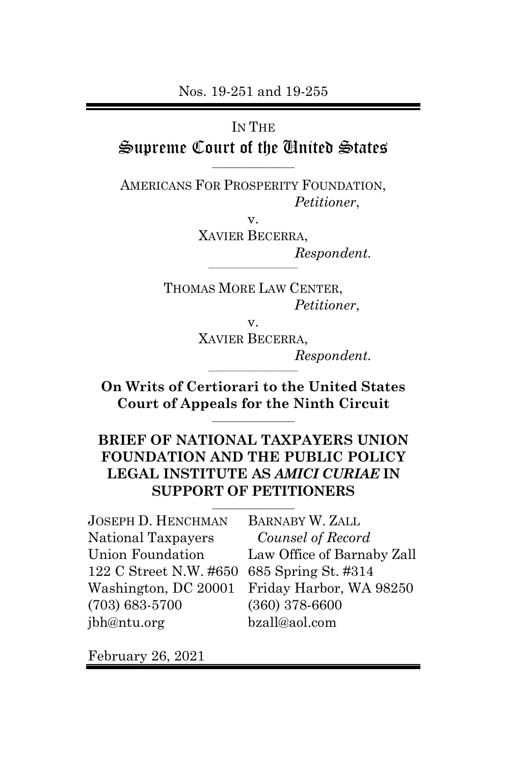Nos. 19-251 and 19-255

IN THE

Supreme Court of the United States  $\overline{\phantom{a}}$  , which is a set of the set of the set of the set of the set of the set of the set of the set of the set of the set of the set of the set of the set of the set of the set of the set of the set of the set of th

AMERICANS FOR PROSPERITY FOUNDATION, *Petitioner*,

> v. XAVIER BECERRA, *Respondent.*  $\frac{1}{2}$  ,  $\frac{1}{2}$  ,  $\frac{1}{2}$  ,  $\frac{1}{2}$  ,  $\frac{1}{2}$  ,  $\frac{1}{2}$  ,  $\frac{1}{2}$  ,  $\frac{1}{2}$  ,  $\frac{1}{2}$  ,  $\frac{1}{2}$  ,  $\frac{1}{2}$  ,  $\frac{1}{2}$  ,  $\frac{1}{2}$  ,  $\frac{1}{2}$  ,  $\frac{1}{2}$  ,  $\frac{1}{2}$  ,  $\frac{1}{2}$  ,  $\frac{1}{2}$  ,  $\frac{1$

THOMAS MORE LAW CENTER, *Petitioner*,

v.

XAVIER BECERRA, *Respondent.*

**On Writs of Certiorari to the United States Court of Appeals for the Ninth Circuit**  $\overline{\phantom{a}}$  , which is a set of the set of the set of the set of the set of the set of the set of the set of the set of the set of the set of the set of the set of the set of the set of the set of the set of the set of th

 $\frac{1}{2}$  ,  $\frac{1}{2}$  ,  $\frac{1}{2}$  ,  $\frac{1}{2}$  ,  $\frac{1}{2}$  ,  $\frac{1}{2}$  ,  $\frac{1}{2}$  ,  $\frac{1}{2}$  ,  $\frac{1}{2}$  ,  $\frac{1}{2}$  ,  $\frac{1}{2}$  ,  $\frac{1}{2}$  ,  $\frac{1}{2}$  ,  $\frac{1}{2}$  ,  $\frac{1}{2}$  ,  $\frac{1}{2}$  ,  $\frac{1}{2}$  ,  $\frac{1}{2}$  ,  $\frac{1$ 

## **BRIEF OF NATIONAL TAXPAYERS UNION FOUNDATION AND THE PUBLIC POLICY LEGAL INSTITUTE AS** *AMICI CURIAE* **IN SUPPORT OF PETITIONERS**

 $\overline{\phantom{a}}$  , which is a set of the set of the set of the set of the set of the set of the set of the set of the set of the set of the set of the set of the set of the set of the set of the set of the set of the set of th

| <b>JOSEPH D. HENCHMAN</b>                  | <b>BARNABY W. ZALL</b>                       |
|--------------------------------------------|----------------------------------------------|
| National Taxpayers                         | Counsel of Record                            |
| Union Foundation                           | Law Office of Barnaby Zall                   |
| 122 C Street N.W. #650 685 Spring St. #314 |                                              |
|                                            | Washington, DC 20001 Friday Harbor, WA 98250 |
| $(703) 683 - 5700$                         | $(360)$ 378-6600                             |
| jbh@ntu.org                                | bzall@aol.com                                |

February 26, 2021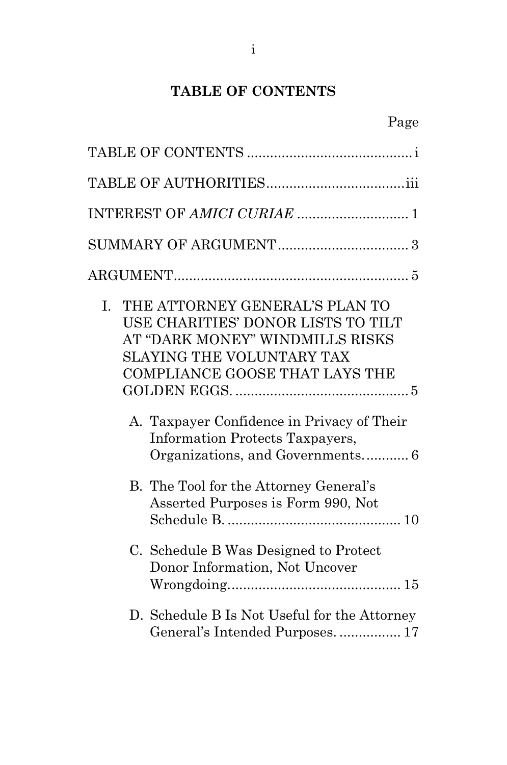# **TABLE OF CONTENTS**

<span id="page-1-0"></span>

| Ι.<br>THE ATTORNEY GENERAL'S PLAN TO<br>USE CHARITIES' DONOR LISTS TO TILT<br>AT "DARK MONEY" WINDMILLS RISKS<br>SLAYING THE VOLUNTARY TAX<br>COMPLIANCE GOOSE THAT LAYS THE<br>A. Taxpayer Confidence in Privacy of Their<br><b>Information Protects Taxpayers,</b><br>Organizations, and Governments 6<br>B. The Tool for the Attorney General's |
|----------------------------------------------------------------------------------------------------------------------------------------------------------------------------------------------------------------------------------------------------------------------------------------------------------------------------------------------------|
| Asserted Purposes is Form 990, Not                                                                                                                                                                                                                                                                                                                 |
| C. Schedule B Was Designed to Protect<br>Donor Information, Not Uncover                                                                                                                                                                                                                                                                            |
| D. Schedule B Is Not Useful for the Attorney<br>General's Intended Purposes.  17                                                                                                                                                                                                                                                                   |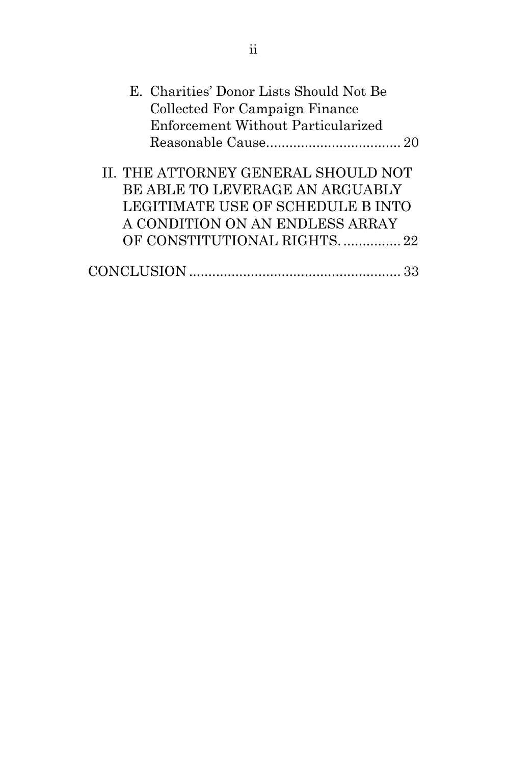| E. Charities' Donor Lists Should Not Be<br>Collected For Campaign Finance                                                                                                     |
|-------------------------------------------------------------------------------------------------------------------------------------------------------------------------------|
| Enforcement Without Particularized                                                                                                                                            |
|                                                                                                                                                                               |
| II. THE ATTORNEY GENERAL SHOULD NOT<br>BE ABLE TO LEVERAGE AN ARGUABLY<br>LEGITIMATE USE OF SCHEDULE B INTO<br>A CONDITION ON AN ENDLESS ARRAY<br>OF CONSTITUTIONAL RIGHTS 22 |
|                                                                                                                                                                               |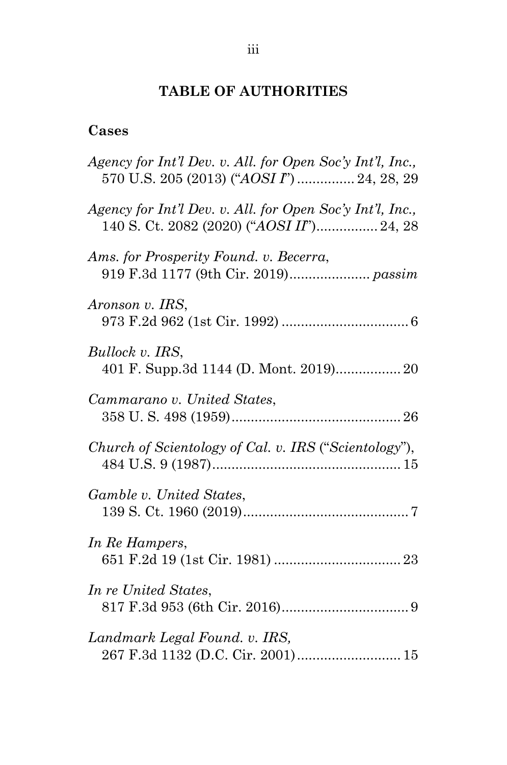## **TABLE OF AUTHORITIES**

## <span id="page-3-0"></span>**Cases**

| Agency for Int'l Dev. v. All. for Open Soc'y Int'l, Inc.,<br>570 U.S. 205 (2013) ("AOSI I")  24, 28, 29 |
|---------------------------------------------------------------------------------------------------------|
| Agency for Int'l Dev. v. All. for Open Soc'y Int'l, Inc.,<br>140 S. Ct. 2082 (2020) ("AOSI II") 24, 28  |
| Ams. for Prosperity Found. v. Becerra,                                                                  |
| Aronson v. IRS,                                                                                         |
| Bullock v. IRS,<br>401 F. Supp.3d 1144 (D. Mont. 2019) 20                                               |
| Cammarano v. United States,                                                                             |
| Church of Scientology of Cal. v. IRS ("Scientology"),                                                   |
| Gamble v. United States,                                                                                |
| In Re Hampers,                                                                                          |
| In re United States,                                                                                    |
| Landmark Legal Found. v. IRS,                                                                           |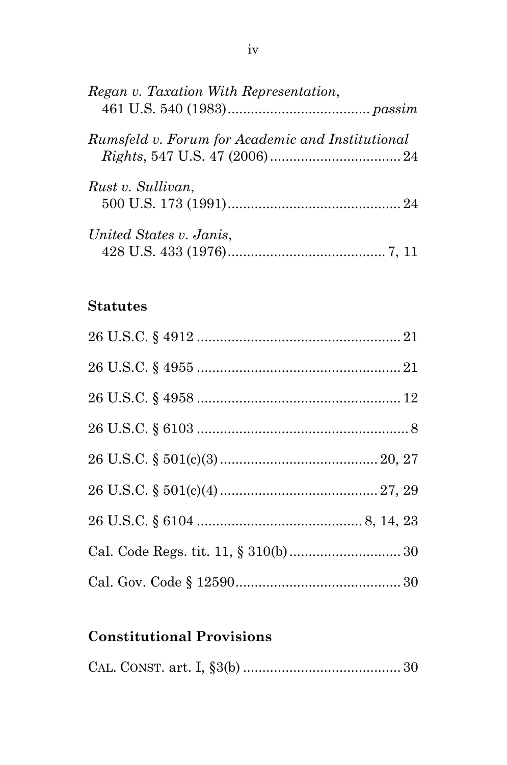| Regan v. Taxation With Representation,           |  |
|--------------------------------------------------|--|
| Rumsfeld v. Forum for Academic and Institutional |  |
| Rust v. Sullivan,                                |  |
| United States v. Janis,                          |  |

## **Statutes**

## **Constitutional Provisions**

|--|--|--|--|--|--|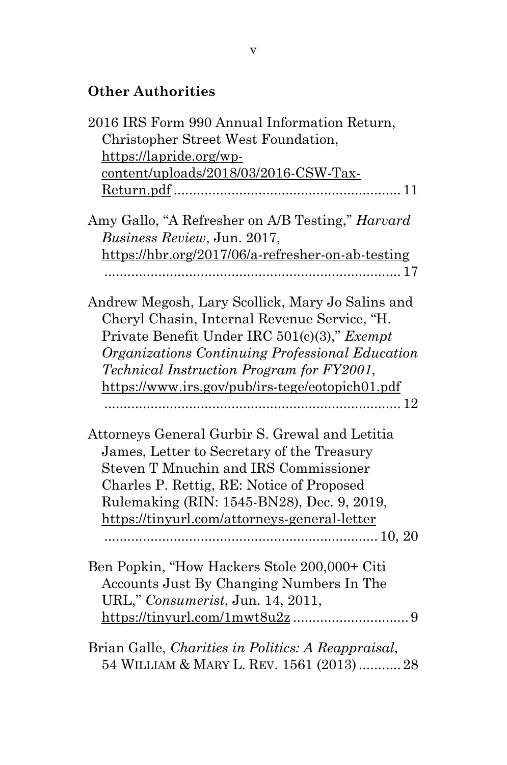## **Other Authorities**

| 2016 IRS Form 990 Annual Information Return,       |
|----------------------------------------------------|
| Christopher Street West Foundation,                |
| https://lapride.org/wp-                            |
| content/uploads/2018/03/2016-CSW-Tax-              |
|                                                    |
| Amy Gallo, "A Refresher on A/B Testing," Harvard   |
| Business Review, Jun. 2017,                        |
| https://hbr.org/2017/06/a-refresher-on-ab-testing  |
|                                                    |
| Andrew Megosh, Lary Scollick, Mary Jo Salins and   |
| Cheryl Chasin, Internal Revenue Service, "H.       |
| Private Benefit Under IRC 501(c)(3)," Exempt       |
| Organizations Continuing Professional Education    |
| <i>Technical Instruction Program for FY2001,</i>   |
| https://www.irs.gov/pub/irs-tege/eotopich01.pdf    |
|                                                    |
| Attorneys General Gurbir S. Grewal and Letitia     |
| James, Letter to Secretary of the Treasury         |
| Steven T Mnuchin and IRS Commissioner              |
| Charles P. Rettig, RE: Notice of Proposed          |
| Rulemaking (RIN: 1545-BN28), Dec. 9, 2019,         |
| https://tinyurl.com/attorneys-general-letter       |
|                                                    |
| Ben Popkin, "How Hackers Stole 200,000+ Citi       |
| Accounts Just By Changing Numbers In The           |
| URL," Consumerist, Jun. 14, 2011,                  |
|                                                    |
| Brian Galle, Charities in Politics: A Reappraisal, |
| 54 WILLIAM & MARY L. REV. 1561 (2013)  28          |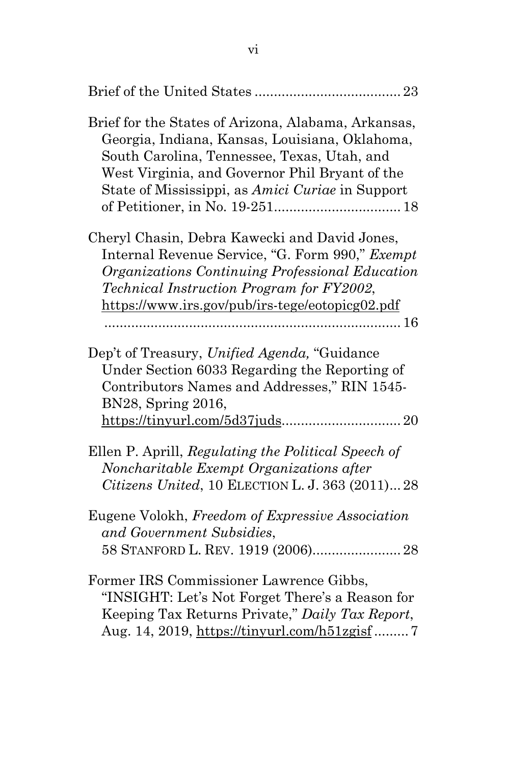| Brief for the States of Arizona, Alabama, Arkansas,<br>Georgia, Indiana, Kansas, Louisiana, Oklahoma,<br>South Carolina, Tennessee, Texas, Utah, and<br>West Virginia, and Governor Phil Bryant of the<br>State of Mississippi, as Amici Curiae in Support |
|------------------------------------------------------------------------------------------------------------------------------------------------------------------------------------------------------------------------------------------------------------|
| Cheryl Chasin, Debra Kawecki and David Jones,<br>Internal Revenue Service, "G. Form 990," Exempt<br>Organizations Continuing Professional Education<br>Technical Instruction Program for FY2002,<br>https://www.irs.gov/pub/irs-tege/eotopicg02.pdf        |
| Dep't of Treasury, Unified Agenda, "Guidance<br>Under Section 6033 Regarding the Reporting of<br>Contributors Names and Addresses," RIN 1545-<br>BN28, Spring 2016,<br>$\frac{\text{https://tinyul.com/5d37juds}}{20}$                                     |
| Ellen P. Aprill, Regulating the Political Speech of<br>Noncharitable Exempt Organizations after<br>Citizens United, 10 ELECTION L. J. 363 (2011) 28                                                                                                        |
| Eugene Volokh, Freedom of Expressive Association<br>and Government Subsidies,<br>58 STANFORD L. REV. 1919 (2006) 28                                                                                                                                        |
| Former IRS Commissioner Lawrence Gibbs,<br>"INSIGHT: Let's Not Forget There's a Reason for<br>Keeping Tax Returns Private," Daily Tax Report,<br>Aug. 14, 2019, https://tinyurl.com/h51zgisf7                                                              |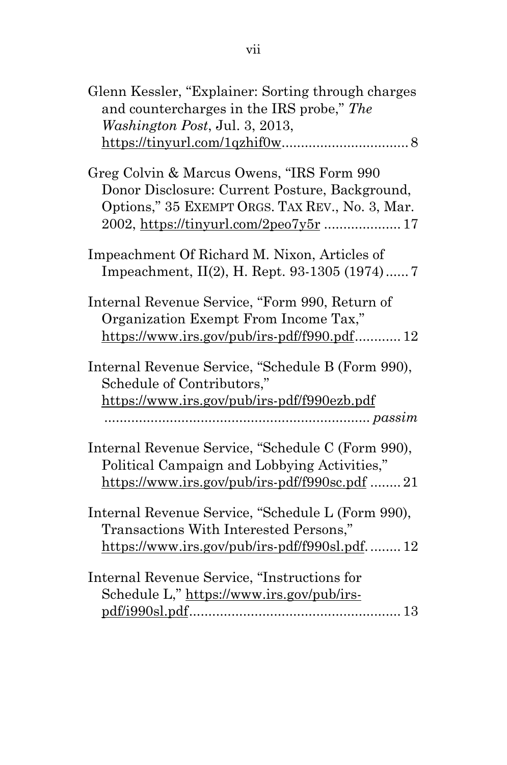| Glenn Kessler, "Explainer: Sorting through charges"<br>and countercharges in the IRS probe," The<br>Washington Post, Jul. 3, 2013,                                                       |
|------------------------------------------------------------------------------------------------------------------------------------------------------------------------------------------|
| $\frac{\text{https://tiny.l.com/1qzhi}f0w}{\text{https://tiny.l.com/1qzhi}f0w}$                                                                                                          |
| Greg Colvin & Marcus Owens, "IRS Form 990<br>Donor Disclosure: Current Posture, Background,<br>Options," 35 EXEMPT ORGS. TAX REV., No. 3, Mar.<br>2002, https://tinyurl.com/2peo7y5r  17 |
| Impeachment Of Richard M. Nixon, Articles of<br>Impeachment, II(2), H. Rept. 93-1305 (1974)7                                                                                             |
| Internal Revenue Service, "Form 990, Return of<br>Organization Exempt From Income Tax,"<br>$\frac{\text{https://www.irs.gov/public/irs.pdf/f990.pdf}}{12}$                               |
| Internal Revenue Service, "Schedule B (Form 990),<br>Schedule of Contributors,"<br>https://www.irs.gov/pub/irs-pdf/f990ezb.pdf                                                           |
| Internal Revenue Service, "Schedule C (Form 990),<br>Political Campaign and Lobbying Activities,"<br>https://www.irs.gov/pub/irs-pdf/f990sc.pdf 21                                       |
| Internal Revenue Service, "Schedule L (Form 990),<br>Transactions With Interested Persons,"<br>https://www.irs.gov/pub/irs-pdf/f990sl.pdf 12                                             |
| Internal Revenue Service, "Instructions for<br>Schedule L," https://www.irs.gov/pub/irs-                                                                                                 |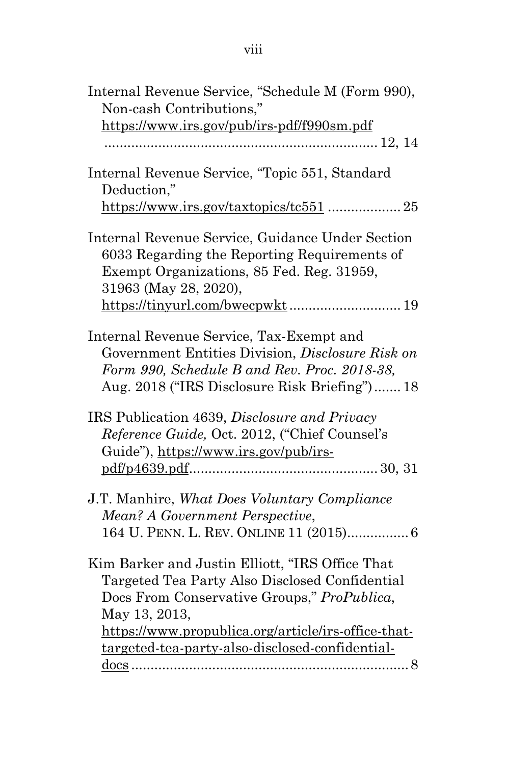| Internal Revenue Service, "Schedule M (Form 990),   |
|-----------------------------------------------------|
| Non-cash Contributions,"                            |
| https://www.irs.gov/pub/irs-pdf/f990sm.pdf          |
|                                                     |
| Internal Revenue Service, "Topic 551, Standard      |
| Deduction,"                                         |
| https://www.irs.gov/taxtopics/tc551  25             |
| Internal Revenue Service, Guidance Under Section    |
| 6033 Regarding the Reporting Requirements of        |
| Exempt Organizations, 85 Fed. Reg. 31959,           |
| 31963 (May 28, 2020),                               |
|                                                     |
| Internal Revenue Service, Tax-Exempt and            |
| Government Entities Division, Disclosure Risk on    |
| Form 990, Schedule B and Rev. Proc. 2018-38,        |
| Aug. 2018 ("IRS Disclosure Risk Briefing") 18       |
| IRS Publication 4639, Disclosure and Privacy        |
| Reference Guide, Oct. 2012, ("Chief Counsel's       |
|                                                     |
| Guide"), https://www.irs.gov/pub/irs-               |
|                                                     |
| J.T. Manhire, <i>What Does Voluntary Compliance</i> |
| Mean? A Government Perspective,                     |
| 164 U. PENN. L. REV. ONLINE 11 (2015) 6             |

Kim Barker and Justin Elliott, "IRS Office That Targeted Tea Party Also Disclosed Confidential Docs From Conservative Groups," *ProPublica*, May 13, 2013, https://www.propublica.org/article/irs-office-thattargeted-tea-party-also-disclosed-confidentialdocs ........................................................................8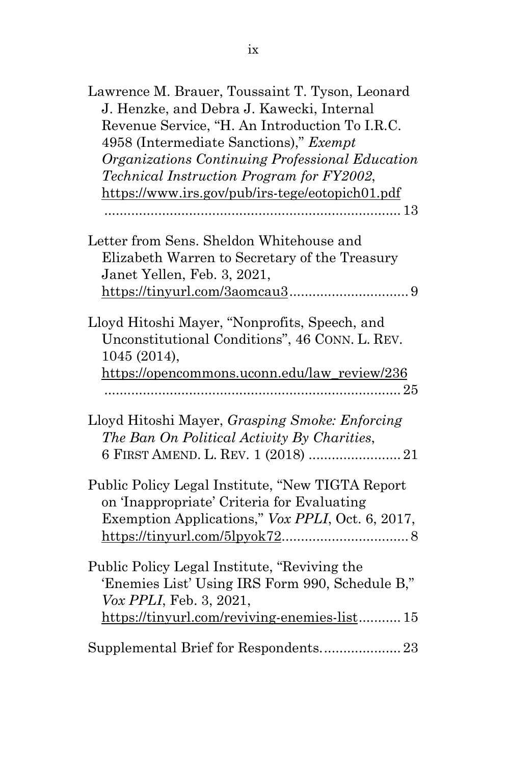| Lawrence M. Brauer, Toussaint T. Tyson, Leonard<br>J. Henzke, and Debra J. Kawecki, Internal<br>Revenue Service, "H. An Introduction To I.R.C.<br>4958 (Intermediate Sanctions)," Exempt<br>Organizations Continuing Professional Education<br>Technical Instruction Program for FY2002,<br>https://www.irs.gov/pub/irs-tege/eotopich01.pdf |
|---------------------------------------------------------------------------------------------------------------------------------------------------------------------------------------------------------------------------------------------------------------------------------------------------------------------------------------------|
| Letter from Sens. Sheldon Whitehouse and<br>Elizabeth Warren to Secretary of the Treasury<br>Janet Yellen, Feb. 3, 2021,                                                                                                                                                                                                                    |
| Lloyd Hitoshi Mayer, "Nonprofits, Speech, and<br>Unconstitutional Conditions", 46 CONN. L. REV.<br>1045 (2014),<br>https://opencommons.uconn.edu/law_review/236                                                                                                                                                                             |
| Lloyd Hitoshi Mayer, Grasping Smoke: Enforcing<br>The Ban On Political Activity By Charities,<br>6 FIRST AMEND. L. REV. 1 (2018)  21                                                                                                                                                                                                        |
| Public Policy Legal Institute, "New TIGTA Report<br>on 'Inappropriate' Criteria for Evaluating<br>Exemption Applications," Vox PPLI, Oct. 6, 2017,                                                                                                                                                                                          |
| Public Policy Legal Institute, "Reviving the<br>'Enemies List' Using IRS Form 990, Schedule B,"<br>Vox PPLI, Feb. 3, 2021,<br>https://tinyurl.com/reviving-enemies-list 15                                                                                                                                                                  |
| Supplemental Brief for Respondents23                                                                                                                                                                                                                                                                                                        |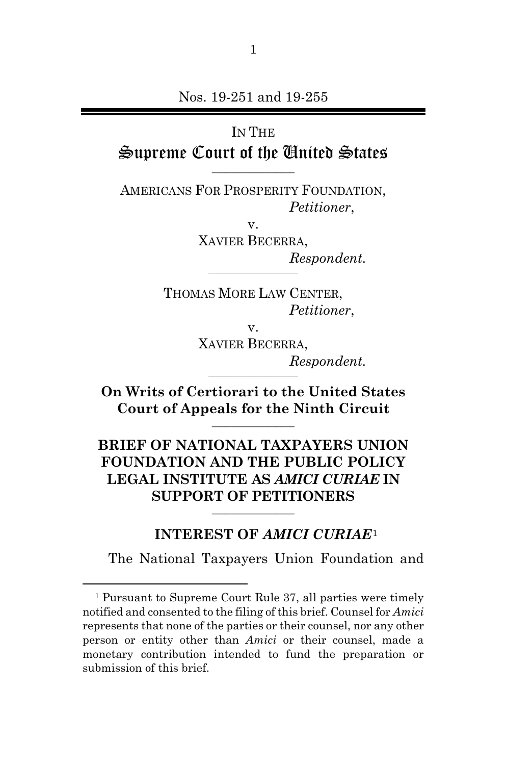## IN THE Supreme Court of the United States

AMERICANS FOR PROSPERITY FOUNDATION, *Petitioner*,

 $\overline{\phantom{a}}$  , which is a set of the set of the set of the set of the set of the set of the set of the set of the set of the set of the set of the set of the set of the set of the set of the set of the set of the set of th

v. XAVIER BECERRA, *Respondent.*

THOMAS MORE LAW CENTER, *Petitioner*,

 $\frac{1}{2}$  ,  $\frac{1}{2}$  ,  $\frac{1}{2}$  ,  $\frac{1}{2}$  ,  $\frac{1}{2}$  ,  $\frac{1}{2}$  ,  $\frac{1}{2}$  ,  $\frac{1}{2}$  ,  $\frac{1}{2}$  ,  $\frac{1}{2}$  ,  $\frac{1}{2}$  ,  $\frac{1}{2}$  ,  $\frac{1}{2}$  ,  $\frac{1}{2}$  ,  $\frac{1}{2}$  ,  $\frac{1}{2}$  ,  $\frac{1}{2}$  ,  $\frac{1}{2}$  ,  $\frac{1$ 

v.

XAVIER BECERRA, *Respondent.*

**On Writs of Certiorari to the United States Court of Appeals for the Ninth Circuit**  $\overline{\phantom{a}}$  , which is a set of the set of the set of the set of the set of the set of the set of the set of the set of the set of the set of the set of the set of the set of the set of the set of the set of the set of th

 $\frac{1}{2}$  ,  $\frac{1}{2}$  ,  $\frac{1}{2}$  ,  $\frac{1}{2}$  ,  $\frac{1}{2}$  ,  $\frac{1}{2}$  ,  $\frac{1}{2}$  ,  $\frac{1}{2}$  ,  $\frac{1}{2}$  ,  $\frac{1}{2}$  ,  $\frac{1}{2}$  ,  $\frac{1}{2}$  ,  $\frac{1}{2}$  ,  $\frac{1}{2}$  ,  $\frac{1}{2}$  ,  $\frac{1}{2}$  ,  $\frac{1}{2}$  ,  $\frac{1}{2}$  ,  $\frac{1$ 

### **BRIEF OF NATIONAL TAXPAYERS UNION FOUNDATION AND THE PUBLIC POLICY LEGAL INSTITUTE AS** *AMICI CURIAE* **IN SUPPORT OF PETITIONERS**

 $\overline{\phantom{a}}$  , which is a set of the set of the set of the set of the set of the set of the set of the set of the set of the set of the set of the set of the set of the set of the set of the set of the set of the set of th

#### **INTEREST OF** *AMICI CURIAE*[1](#page-10-1)

<span id="page-10-0"></span>The National Taxpayers Union Foundation and

<span id="page-10-1"></span><sup>1</sup> Pursuant to Supreme Court Rule 37, all parties were timely notified and consented to the filing of this brief. Counsel for *Amici* represents that none of the parties or their counsel, nor any other person or entity other than *Amici* or their counsel, made a monetary contribution intended to fund the preparation or submission of this brief.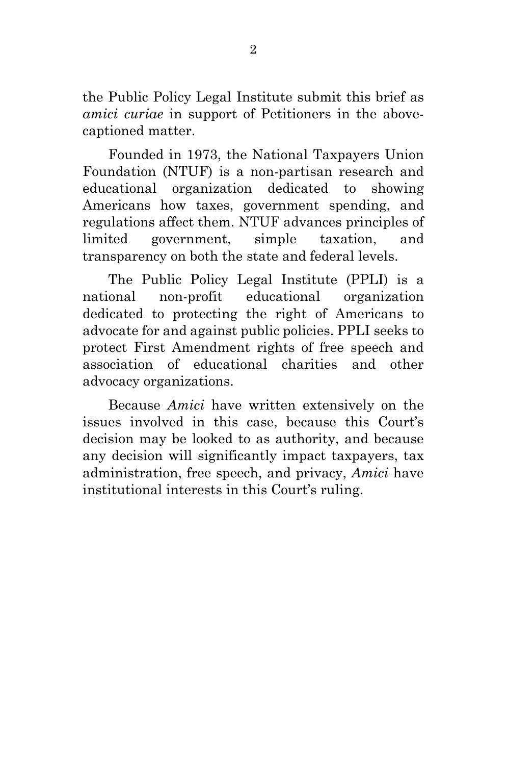the Public Policy Legal Institute submit this brief as *amici curiae* in support of Petitioners in the abovecaptioned matter.

Founded in 1973, the National Taxpayers Union Foundation (NTUF) is a non-partisan research and educational organization dedicated to showing Americans how taxes, government spending, and regulations affect them. NTUF advances principles of limited government, simple taxation, and transparency on both the state and federal levels.

The Public Policy Legal Institute (PPLI) is a national non-profit educational organization dedicated to protecting the right of Americans to advocate for and against public policies. PPLI seeks to protect First Amendment rights of free speech and association of educational charities and other advocacy organizations.

<span id="page-11-0"></span>Because *Amici* have written extensively on the issues involved in this case, because this Court's decision may be looked to as authority, and because any decision will significantly impact taxpayers, tax administration, free speech, and privacy, *Amici* have institutional interests in this Court's ruling.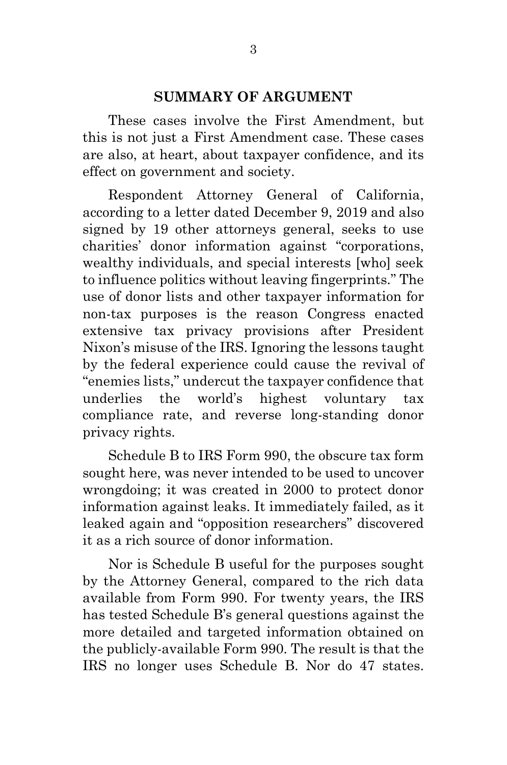#### **SUMMARY OF ARGUMENT**

These cases involve the First Amendment, but this is not just a First Amendment case. These cases are also, at heart, about taxpayer confidence, and its effect on government and society.

Respondent Attorney General of California, according to a letter dated December 9, 2019 and also signed by 19 other attorneys general, seeks to use charities' donor information against "corporations, wealthy individuals, and special interests [who] seek to influence politics without leaving fingerprints." The use of donor lists and other taxpayer information for non-tax purposes is the reason Congress enacted extensive tax privacy provisions after President Nixon's misuse of the IRS. Ignoring the lessons taught by the federal experience could cause the revival of "enemies lists," undercut the taxpayer confidence that underlies the world's highest voluntary tax compliance rate, and reverse long-standing donor privacy rights.

Schedule B to IRS Form 990, the obscure tax form sought here, was never intended to be used to uncover wrongdoing; it was created in 2000 to protect donor information against leaks. It immediately failed, as it leaked again and "opposition researchers" discovered it as a rich source of donor information.

Nor is Schedule B useful for the purposes sought by the Attorney General, compared to the rich data available from Form 990. For twenty years, the IRS has tested Schedule B's general questions against the more detailed and targeted information obtained on the publicly-available Form 990. The result is that the IRS no longer uses Schedule B. Nor do 47 states.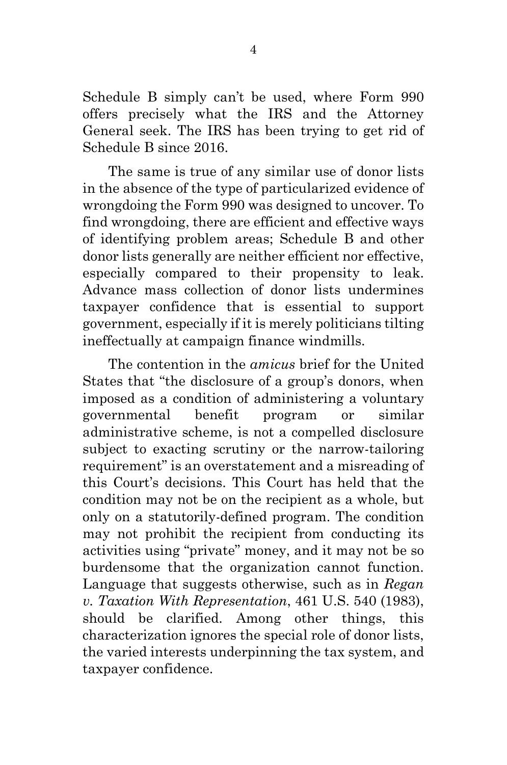Schedule B simply can't be used, where Form 990 offers precisely what the IRS and the Attorney General seek. The IRS has been trying to get rid of Schedule B since 2016.

The same is true of any similar use of donor lists in the absence of the type of particularized evidence of wrongdoing the Form 990 was designed to uncover. To find wrongdoing, there are efficient and effective ways of identifying problem areas; Schedule B and other donor lists generally are neither efficient nor effective, especially compared to their propensity to leak. Advance mass collection of donor lists undermines taxpayer confidence that is essential to support government, especially if it is merely politicians tilting ineffectually at campaign finance windmills.

The contention in the *amicus* brief for the United States that "the disclosure of a group's donors, when imposed as a condition of administering a voluntary governmental benefit program or similar administrative scheme, is not a compelled disclosure subject to exacting scrutiny or the narrow-tailoring requirement" is an overstatement and a misreading of this Court's decisions. This Court has held that the condition may not be on the recipient as a whole, but only on a statutorily-defined program. The condition may not prohibit the recipient from conducting its activities using "private" money, and it may not be so burdensome that the organization cannot function. Language that suggests otherwise, such as in *Regan v. Taxation With Representation*, 461 U.S. 540 (1983), should be clarified. Among other things, this characterization ignores the special role of donor lists, the varied interests underpinning the tax system, and taxpayer confidence.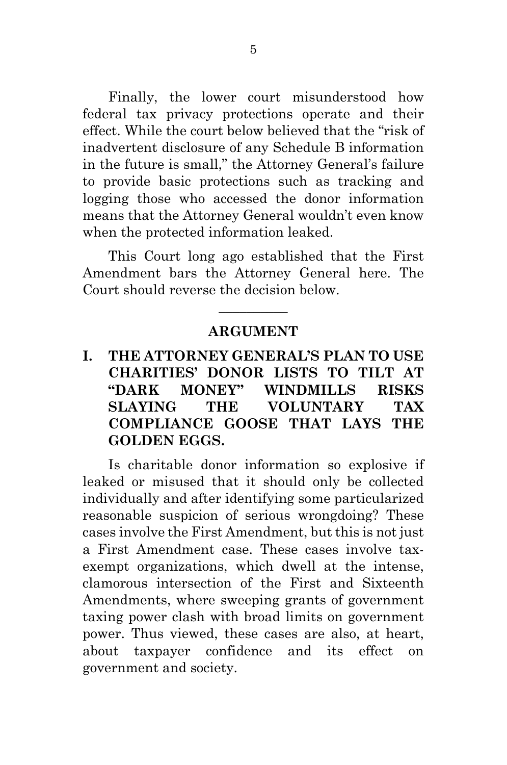Finally, the lower court misunderstood how federal tax privacy protections operate and their effect. While the court below believed that the "risk of inadvertent disclosure of any Schedule B information in the future is small," the Attorney General's failure to provide basic protections such as tracking and logging those who accessed the donor information means that the Attorney General wouldn't even know when the protected information leaked.

This Court long ago established that the First Amendment bars the Attorney General here. The Court should reverse the decision below.

#### **ARGUMENT**

 $\overline{\phantom{a}}$  , where  $\overline{\phantom{a}}$ 

### <span id="page-14-1"></span><span id="page-14-0"></span>**I. THE ATTORNEY GENERAL'S PLAN TO USE CHARITIES' DONOR LISTS TO TILT AT "DARK MONEY" WINDMILLS RISKS SLAYING THE VOLUNTARY TAX COMPLIANCE GOOSE THAT LAYS THE GOLDEN EGGS.**

Is charitable donor information so explosive if leaked or misused that it should only be collected individually and after identifying some particularized reasonable suspicion of serious wrongdoing? These cases involve the First Amendment, but this is not just a First Amendment case. These cases involve taxexempt organizations, which dwell at the intense, clamorous intersection of the First and Sixteenth Amendments, where sweeping grants of government taxing power clash with broad limits on government power. Thus viewed, these cases are also, at heart, about taxpayer confidence and its effect on government and society.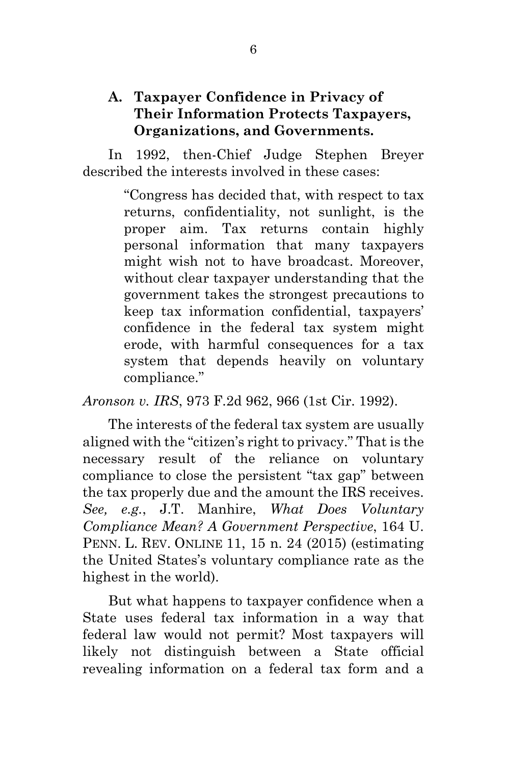### <span id="page-15-0"></span>**A. Taxpayer Confidence in Privacy of Their Information Protects Taxpayers, Organizations, and Governments.**

In 1992, then-Chief Judge Stephen Breyer described the interests involved in these cases:

> "Congress has decided that, with respect to tax returns, confidentiality, not sunlight, is the proper aim. Tax returns contain highly personal information that many taxpayers might wish not to have broadcast. Moreover, without clear taxpayer understanding that the government takes the strongest precautions to keep tax information confidential, taxpayers' confidence in the federal tax system might erode, with harmful consequences for a tax system that depends heavily on voluntary compliance."

*Aronson v. IRS*, 973 F.2d 962, 966 (1st Cir. 1992).

The interests of the federal tax system are usually aligned with the "citizen's right to privacy." That is the necessary result of the reliance on voluntary compliance to close the persistent "tax gap" between the tax properly due and the amount the IRS receives. *See, e.g.*, J.T. Manhire, *What Does Voluntary Compliance Mean? A Government Perspective*, 164 U. PENN. L. REV. ONLINE 11, 15 n. 24 (2015) (estimating the United States's voluntary compliance rate as the highest in the world).

But what happens to taxpayer confidence when a State uses federal tax information in a way that federal law would not permit? Most taxpayers will likely not distinguish between a State official revealing information on a federal tax form and a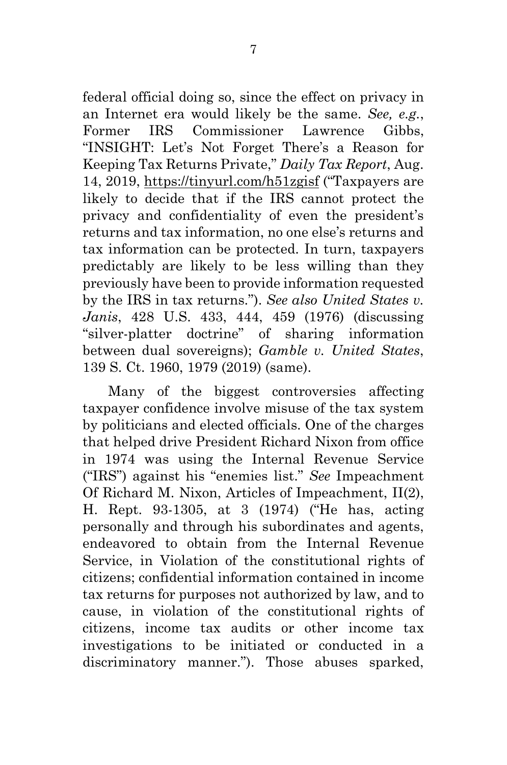federal official doing so, since the effect on privacy in an Internet era would likely be the same. *See, e.g.*, Former IRS Commissioner Lawrence Gibbs, "INSIGHT: Let's Not Forget There's a Reason for Keeping Tax Returns Private," *Daily Tax Report*, Aug. 14, 2019,<https://tinyurl.com/h51zgisf> ("Taxpayers are likely to decide that if the IRS cannot protect the privacy and confidentiality of even the president's returns and tax information, no one else's returns and tax information can be protected. In turn, taxpayers predictably are likely to be less willing than they previously have been to provide information requested by the IRS in tax returns."). *See also United States v. Janis*, 428 U.S. 433, 444, 459 (1976) (discussing "silver-platter doctrine" of sharing information between dual sovereigns); *Gamble v. United States*, 139 S. Ct. 1960, 1979 (2019) (same).

Many of the biggest controversies affecting taxpayer confidence involve misuse of the tax system by politicians and elected officials. One of the charges that helped drive President Richard Nixon from office in 1974 was using the Internal Revenue Service ("IRS") against his "enemies list." *See* Impeachment Of Richard M. Nixon, Articles of Impeachment, II(2), H. Rept. 93-1305, at 3 (1974) ("He has, acting personally and through his subordinates and agents, endeavored to obtain from the Internal Revenue Service, in Violation of the constitutional rights of citizens; confidential information contained in income tax returns for purposes not authorized by law, and to cause, in violation of the constitutional rights of citizens, income tax audits or other income tax investigations to be initiated or conducted in a discriminatory manner."). Those abuses sparked,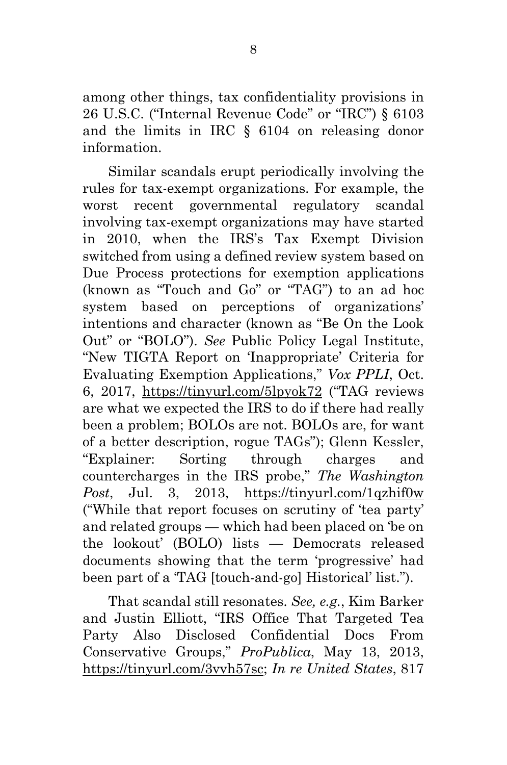among other things, tax confidentiality provisions in 26 U.S.C. ("Internal Revenue Code" or "IRC") § 6103 and the limits in IRC § 6104 on releasing donor information.

Similar scandals erupt periodically involving the rules for tax-exempt organizations. For example, the worst recent governmental regulatory scandal involving tax-exempt organizations may have started in 2010, when the IRS's Tax Exempt Division switched from using a defined review system based on Due Process protections for exemption applications (known as "Touch and Go" or "TAG") to an ad hoc system based on perceptions of organizations' intentions and character (known as "Be On the Look Out" or "BOLO"). *See* Public Policy Legal Institute, "New TIGTA Report on 'Inappropriate' Criteria for Evaluating Exemption Applications," *Vox PPLI*, Oct. 6, 2017, <https://tinyurl.com/5lpyok72> ("TAG reviews are what we expected the IRS to do if there had really been a problem; BOLOs are not. BOLOs are, for want of a better description, rogue TAGs"); Glenn Kessler, "Explainer: Sorting through charges and countercharges in the IRS probe," *The Washington Post*, Jul. 3, 2013, <https://tinyurl.com/1qzhif0w> ("While that report focuses on scrutiny of 'tea party' and related groups — which had been placed on 'be on the lookout' (BOLO) lists — Democrats released documents showing that the term 'progressive' had been part of a 'TAG [touch-and-go] Historical' list.").

That scandal still resonates. *See, e.g.*, Kim Barker and Justin Elliott, "IRS Office That Targeted Tea Party Also Disclosed Confidential Docs From Conservative Groups," *ProPublica*, May 13, 2013, [https://tinyurl.com/3vvh57sc;](https://tinyurl.com/3vvh57sc) *In re United States*, 817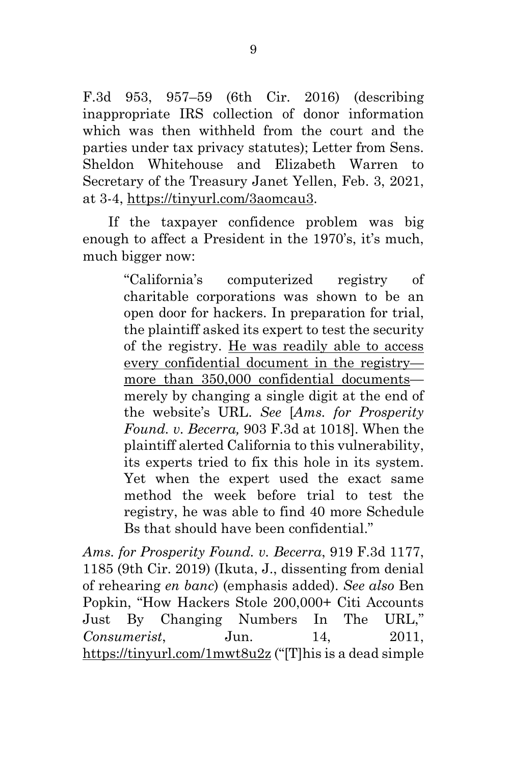F.3d 953, 957–59 (6th Cir. 2016) (describing inappropriate IRS collection of donor information which was then withheld from the court and the parties under tax privacy statutes); Letter from Sens. Sheldon Whitehouse and Elizabeth Warren to Secretary of the Treasury Janet Yellen, Feb. 3, 2021, at 3-4, [https://tinyurl.com/3aomcau3.](https://tinyurl.com/3aomcau3)

If the taxpayer confidence problem was big enough to affect a President in the 1970's, it's much, much bigger now:

> "California's computerized registry of charitable corporations was shown to be an open door for hackers. In preparation for trial, the plaintiff asked its expert to test the security of the registry. He was readily able to access every confidential document in the registry more than 350,000 confidential documents merely by changing a single digit at the end of the website's URL. *See* [*Ams. for Prosperity Found. v. Becerra,* 903 F.3d at 1018]. When the plaintiff alerted California to this vulnerability, its experts tried to fix this hole in its system. Yet when the expert used the exact same method the week before trial to test the registry, he was able to find 40 more Schedule Bs that should have been confidential."

*Ams. for Prosperity Found. v. Becerra*, 919 F.3d 1177, 1185 (9th Cir. 2019) (Ikuta, J., dissenting from denial of rehearing *en banc*) (emphasis added). *See also* Ben Popkin, "How Hackers Stole 200,000+ Citi Accounts Just By Changing Numbers In The URL," *Consumerist.* Jun. 14, 2011. <https://tinyurl.com/1mwt8u2z> ("[T]his is a dead simple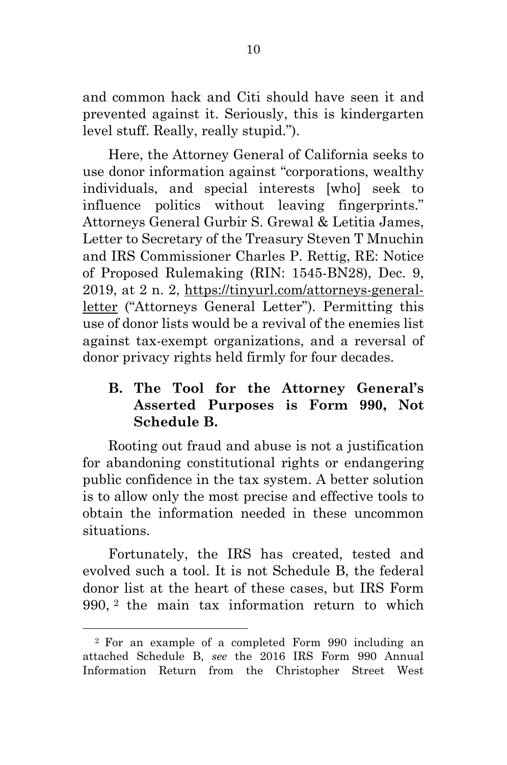and common hack and Citi should have seen it and prevented against it. Seriously, this is kindergarten level stuff. Really, really stupid.").

Here, the Attorney General of California seeks to use donor information against "corporations, wealthy individuals, and special interests [who] seek to influence politics without leaving fingerprints." Attorneys General Gurbir S. Grewal & Letitia James, Letter to Secretary of the Treasury Steven T Mnuchin and IRS Commissioner Charles P. Rettig, RE: Notice of Proposed Rulemaking (RIN: 1545-BN28), Dec. 9, 2019, at 2 n. 2, [https://tinyurl.com/attorneys-general](https://tinyurl.com/attorneys-general-letter)[letter](https://tinyurl.com/attorneys-general-letter) ("Attorneys General Letter"). Permitting this use of donor lists would be a revival of the enemies list against tax-exempt organizations, and a reversal of donor privacy rights held firmly for four decades.

## <span id="page-19-0"></span>**B. The Tool for the Attorney General's Asserted Purposes is Form 990, Not Schedule B.**

Rooting out fraud and abuse is not a justification for abandoning constitutional rights or endangering public confidence in the tax system. A better solution is to allow only the most precise and effective tools to obtain the information needed in these uncommon situations.

Fortunately, the IRS has created, tested and evolved such a tool. It is not Schedule B, the federal donor list at the heart of these cases, but IRS Form 990, [2](#page-19-1) the main tax information return to which

<span id="page-19-1"></span><sup>2</sup> For an example of a completed Form 990 including an attached Schedule B, *see* the 2016 IRS Form 990 Annual Information Return from the Christopher Street West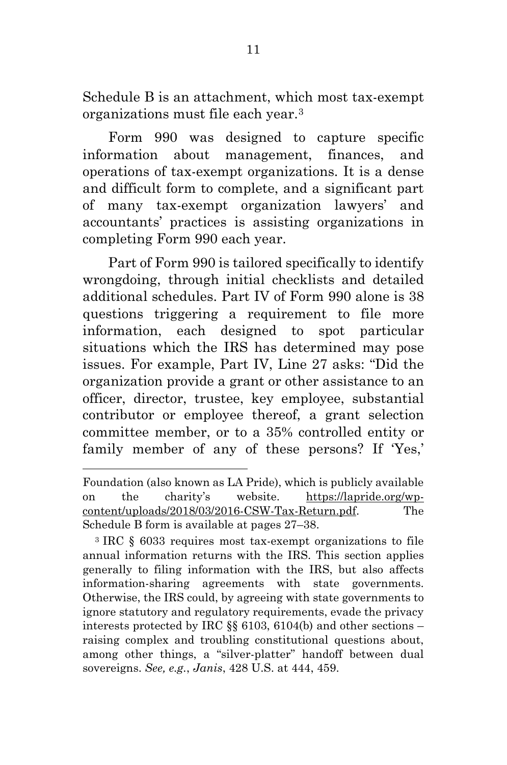Schedule B is an attachment, which most tax-exempt organizations must file each year.[3](#page-20-0)

Form 990 was designed to capture specific information about management, finances, and operations of tax-exempt organizations. It is a dense and difficult form to complete, and a significant part of many tax-exempt organization lawyers' and accountants' practices is assisting organizations in completing Form 990 each year.

Part of Form 990 is tailored specifically to identify wrongdoing, through initial checklists and detailed additional schedules. Part IV of Form 990 alone is 38 questions triggering a requirement to file more information, each designed to spot particular situations which the IRS has determined may pose issues. For example, Part IV, Line 27 asks: "Did the organization provide a grant or other assistance to an officer, director, trustee, key employee, substantial contributor or employee thereof, a grant selection committee member, or to a 35% controlled entity or family member of any of these persons? If 'Yes,'

Foundation (also known as LA Pride), which is publicly available on the charity's website. [https://lapride.org/wp](https://lapride.org/wp-content/uploads/2018/03/2016-CSW-Tax-Return.pdf)[content/uploads/2018/03/2016-CSW-Tax-Return.pdf.](https://lapride.org/wp-content/uploads/2018/03/2016-CSW-Tax-Return.pdf) The Schedule B form is available at pages 27–38.

<span id="page-20-0"></span><sup>3</sup> IRC § 6033 requires most tax-exempt organizations to file annual information returns with the IRS. This section applies generally to filing information with the IRS, but also affects information-sharing agreements with state governments. Otherwise, the IRS could, by agreeing with state governments to ignore statutory and regulatory requirements, evade the privacy interests protected by IRC §§ 6103, 6104(b) and other sections – raising complex and troubling constitutional questions about, among other things, a "silver-platter" handoff between dual sovereigns. *See, e.g.*, *Janis*, 428 U.S. at 444, 459.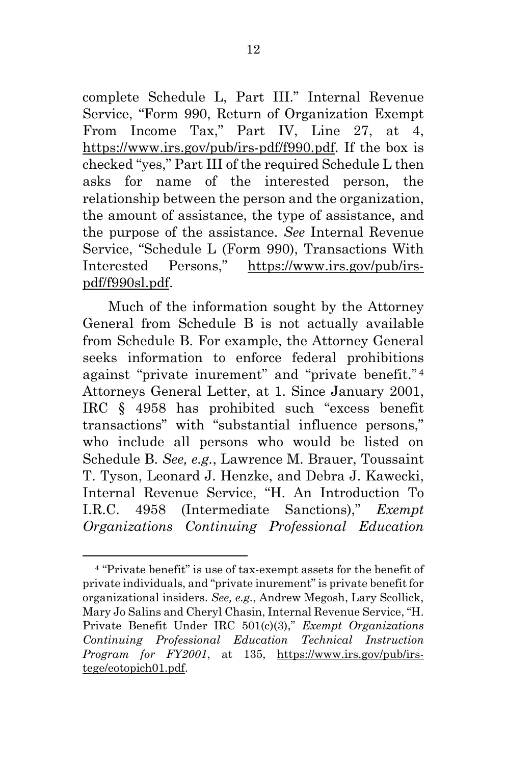complete Schedule L, Part III." Internal Revenue Service, "Form 990, Return of Organization Exempt From Income Tax," Part IV, Line 27, at 4, [https://www.irs.gov/pub/irs-pdf/f990.pdf.](https://www.irs.gov/pub/irs-pdf/f990.pdf) If the box is checked "yes," Part III of the required Schedule L then asks for name of the interested person, the relationship between the person and the organization, the amount of assistance, the type of assistance, and the purpose of the assistance. *See* Internal Revenue Service, "Schedule L (Form 990), Transactions With Interested Persons," [https://www.irs.gov/pub/irs](https://www.irs.gov/pub/irs-pdf/f990sm.pdf)[pdf/f990sl.pdf.](https://www.irs.gov/pub/irs-pdf/f990sm.pdf)

Much of the information sought by the Attorney General from Schedule B is not actually available from Schedule B. For example, the Attorney General seeks information to enforce federal prohibitions against "private inurement" and "private benefit." [4](#page-21-0) Attorneys General Letter, at 1. Since January 2001, IRC § 4958 has prohibited such "excess benefit transactions" with "substantial influence persons," who include all persons who would be listed on Schedule B. *See, e.g.*, Lawrence M. Brauer, Toussaint T. Tyson, Leonard J. Henzke, and Debra J. Kawecki, Internal Revenue Service, "H. An Introduction To I.R.C. 4958 (Intermediate Sanctions)," *Exempt Organizations Continuing Professional Education*

<span id="page-21-0"></span><sup>4</sup> "Private benefit" is use of tax-exempt assets for the benefit of private individuals, and "private inurement" is private benefit for organizational insiders. *See, e.g.*, Andrew Megosh, Lary Scollick, Mary Jo Salins and Cheryl Chasin, Internal Revenue Service, "H. Private Benefit Under IRC 501(c)(3)," *Exempt Organizations Continuing Professional Education Technical Instruction Program for FY2001*, at 135, [https://www.irs.gov/pub/irs](https://www.irs.gov/pub/irs-tege/eotopich01.pdf)[tege/eotopich01.pdf.](https://www.irs.gov/pub/irs-tege/eotopich01.pdf)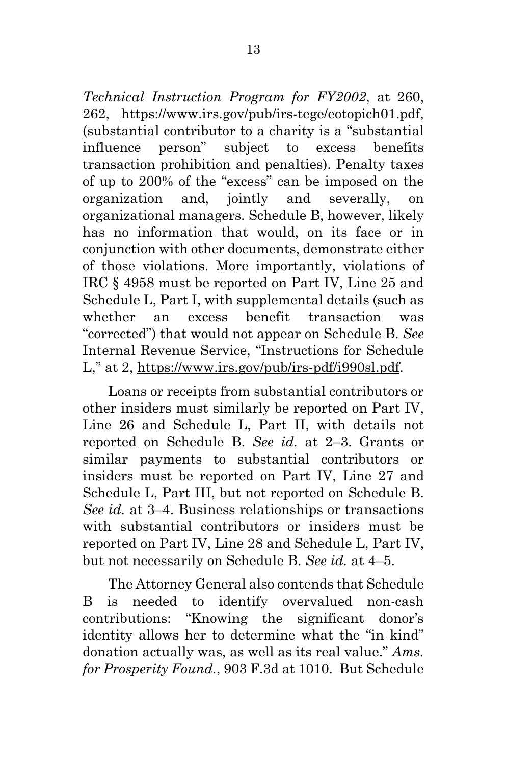*Technical Instruction Program for FY2002*, at 260, 262, [https://www.irs.gov/pub/irs-tege/eotopich01.pdf,](https://www.irs.gov/pub/irs-tege/eotopich01.pdf) (substantial contributor to a charity is a "substantial influence person" subject to excess benefits transaction prohibition and penalties). Penalty taxes of up to 200% of the "excess" can be imposed on the organization and, jointly and severally, on organizational managers. Schedule B, however, likely has no information that would, on its face or in conjunction with other documents, demonstrate either of those violations. More importantly, violations of IRC § 4958 must be reported on Part IV, Line 25 and Schedule L, Part I, with supplemental details (such as whether an excess benefit transaction was "corrected") that would not appear on Schedule B. *See* Internal Revenue Service, "Instructions for Schedule L," at 2, [https://www.irs.gov/pub/irs-pdf/i990sl.pdf.](https://www.irs.gov/pub/irs-pdf/i990sl.pdf)

Loans or receipts from substantial contributors or other insiders must similarly be reported on Part IV, Line 26 and Schedule L, Part II, with details not reported on Schedule B. *See id.* at 2–3. Grants or similar payments to substantial contributors or insiders must be reported on Part IV, Line 27 and Schedule L, Part III, but not reported on Schedule B. *See id.* at 3–4. Business relationships or transactions with substantial contributors or insiders must be reported on Part IV, Line 28 and Schedule L, Part IV, but not necessarily on Schedule B. *See id.* at 4–5.

The Attorney General also contends that Schedule B is needed to identify overvalued non-cash contributions: "Knowing the significant donor's identity allows her to determine what the "in kind" donation actually was, as well as its real value." *Ams. for Prosperity Found.*, 903 F.3d at 1010. But Schedule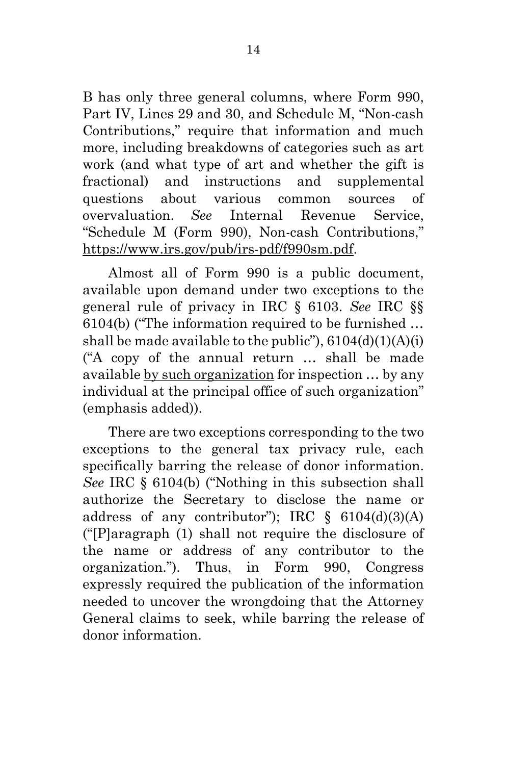B has only three general columns, where Form 990, Part IV, Lines 29 and 30, and Schedule M, "Non-cash Contributions," require that information and much more, including breakdowns of categories such as art work (and what type of art and whether the gift is fractional) and instructions and supplemental questions about various common sources of overvaluation. *See* Internal Revenue Service, "Schedule M (Form 990), Non-cash Contributions," [https://www.irs.gov/pub/irs-pdf/f990sm.pdf.](https://www.irs.gov/pub/irs-pdf/f990sm.pdf)

Almost all of Form 990 is a public document, available upon demand under two exceptions to the general rule of privacy in IRC § 6103. *See* IRC §§ 6104(b) ("The information required to be furnished … shall be made available to the public"),  $6104(d)(1)(A)(i)$ ("A copy of the annual return … shall be made available by such organization for inspection … by any individual at the principal office of such organization" (emphasis added)).

There are two exceptions corresponding to the two exceptions to the general tax privacy rule, each specifically barring the release of donor information. *See* IRC § 6104(b) ("Nothing in this subsection shall authorize the Secretary to disclose the name or address of any contributor"); IRC  $\S$  6104(d)(3)(A) ("[P]aragraph (1) shall not require the disclosure of the name or address of any contributor to the organization."). Thus, in Form 990, Congress expressly required the publication of the information needed to uncover the wrongdoing that the Attorney General claims to seek, while barring the release of donor information.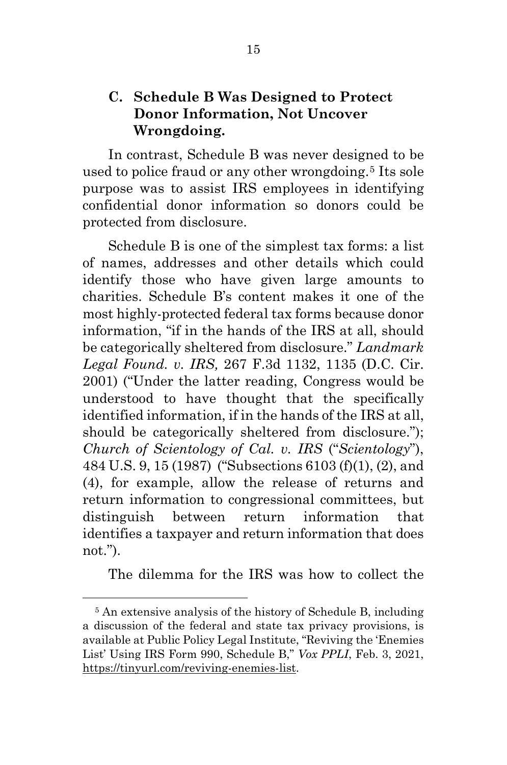### <span id="page-24-0"></span>**C. Schedule B Was Designed to Protect Donor Information, Not Uncover Wrongdoing.**

In contrast, Schedule B was never designed to be used to police fraud or any other wrongdoing.[5](#page-24-1) Its sole purpose was to assist IRS employees in identifying confidential donor information so donors could be protected from disclosure.

Schedule B is one of the simplest tax forms: a list of names, addresses and other details which could identify those who have given large amounts to charities. Schedule B's content makes it one of the most highly-protected federal tax forms because donor information, "if in the hands of the IRS at all, should be categorically sheltered from disclosure." *Landmark Legal Found. v. IRS,* 267 F.3d 1132, 1135 (D.C. Cir. 2001) ("Under the latter reading, Congress would be understood to have thought that the specifically identified information, if in the hands of the IRS at all, should be categorically sheltered from disclosure."); *Church of Scientology of Cal. v. IRS* ("*Scientology*"), 484 U.S. 9, 15 (1987) ("Subsections 6103 (f)(1), (2), and (4), for example, allow the release of returns and return information to congressional committees, but distinguish between return information that identifies a taxpayer and return information that does not.").

The dilemma for the IRS was how to collect the

<span id="page-24-1"></span><sup>5</sup> An extensive analysis of the history of Schedule B, including a discussion of the federal and state tax privacy provisions, is available at Public Policy Legal Institute, "Reviving the 'Enemies List' Using IRS Form 990, Schedule B," *Vox PPLI*, Feb. 3, 2021, [https://tinyurl.com/reviving-enemies-list.](https://tinyurl.com/reviving-enemies-list)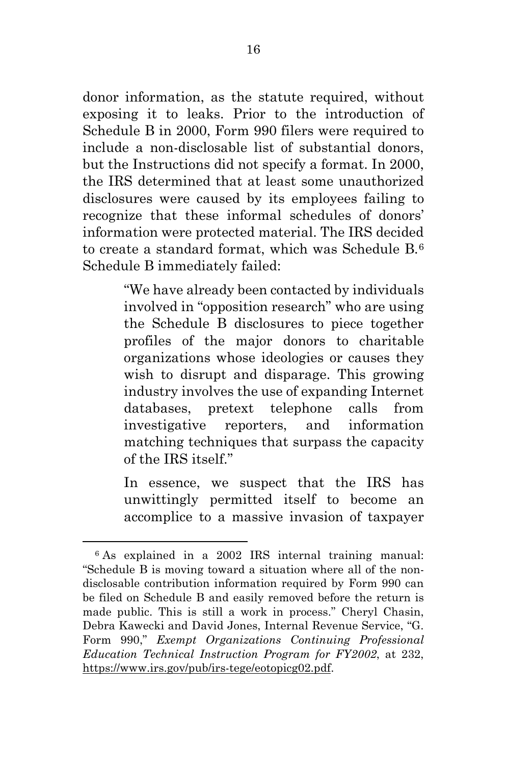donor information, as the statute required, without exposing it to leaks. Prior to the introduction of Schedule B in 2000, Form 990 filers were required to include a non-disclosable list of substantial donors, but the Instructions did not specify a format. In 2000, the IRS determined that at least some unauthorized disclosures were caused by its employees failing to recognize that these informal schedules of donors' information were protected material. The IRS decided to create a standard format, which was Schedule B.[6](#page-25-0) Schedule B immediately failed:

> "We have already been contacted by individuals involved in "opposition research" who are using the Schedule B disclosures to piece together profiles of the major donors to charitable organizations whose ideologies or causes they wish to disrupt and disparage. This growing industry involves the use of expanding Internet databases, pretext telephone calls from investigative reporters, and information matching techniques that surpass the capacity of the IRS itself."

> In essence, we suspect that the IRS has unwittingly permitted itself to become an accomplice to a massive invasion of taxpayer

<span id="page-25-0"></span><sup>6</sup> As explained in a 2002 IRS internal training manual: "Schedule B is moving toward a situation where all of the nondisclosable contribution information required by Form 990 can be filed on Schedule B and easily removed before the return is made public. This is still a work in process." Cheryl Chasin, Debra Kawecki and David Jones, Internal Revenue Service, "G. Form 990," *Exempt Organizations Continuing Professional Education Technical Instruction Program for FY2002*, at 232, [https://www.irs.gov/pub/irs-tege/eotopicg02.pdf.](https://www.irs.gov/pub/irs-tege/eotopicg02.pdf)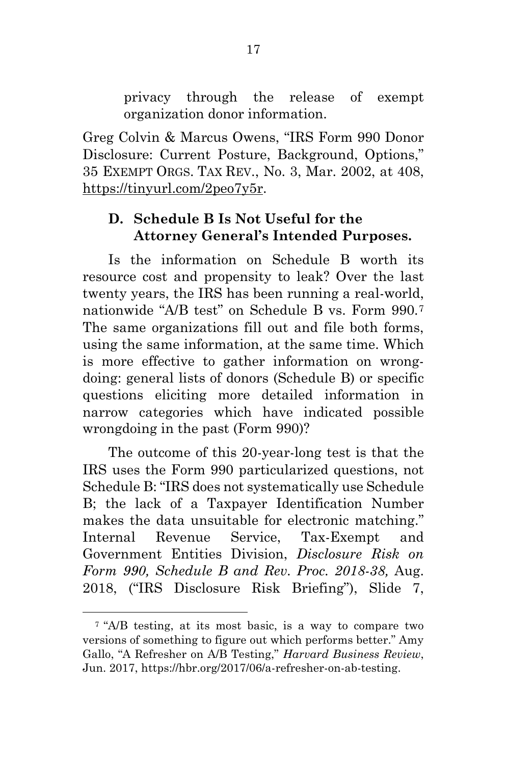privacy through the release of exempt organization donor information.

Greg Colvin & Marcus Owens, "IRS Form 990 Donor Disclosure: Current Posture, Background, Options," 35 EXEMPT ORGS. TAX REV., No. 3, Mar. 2002, at 408, [https://tinyurl.com/2peo7y5r.](https://tinyurl.com/2peo7y5r)

#### <span id="page-26-0"></span>**D. Schedule B Is Not Useful for the Attorney General's Intended Purposes.**

Is the information on Schedule B worth its resource cost and propensity to leak? Over the last twenty years, the IRS has been running a real-world, nationwide "A/B test" on Schedule B vs. Form 990.[7](#page-26-1) The same organizations fill out and file both forms, using the same information, at the same time. Which is more effective to gather information on wrongdoing: general lists of donors (Schedule B) or specific questions eliciting more detailed information in narrow categories which have indicated possible wrongdoing in the past (Form 990)?

The outcome of this 20-year-long test is that the IRS uses the Form 990 particularized questions, not Schedule B: "IRS does not systematically use Schedule B; the lack of a Taxpayer Identification Number makes the data unsuitable for electronic matching." Internal Revenue Service, Tax-Exempt and Government Entities Division, *Disclosure Risk on Form 990, Schedule B and Rev. Proc. 2018-38,* Aug. 2018, ("IRS Disclosure Risk Briefing"), Slide 7,

<span id="page-26-1"></span><sup>7</sup> "A/B testing, at its most basic, is a way to compare two versions of something to figure out which performs better." Amy Gallo, "A Refresher on A/B Testing," *Harvard Business Review*, Jun. 2017, https://hbr.org/2017/06/a-refresher-on-ab-testing.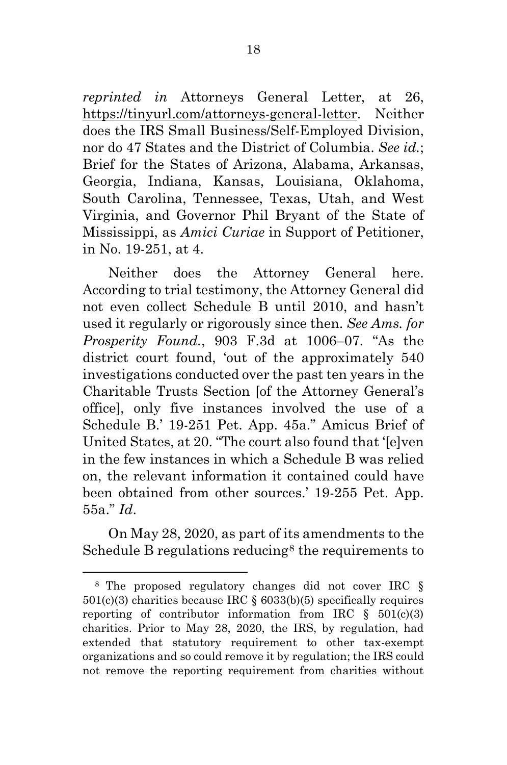*reprinted in* Attorneys General Letter, at 26, [https://tinyurl.com/attorneys-general-letter.](https://tinyurl.com/attorneys-general-letter) Neither does the IRS Small Business/Self-Employed Division, nor do 47 States and the District of Columbia. *See id.*; Brief for the States of Arizona, Alabama, Arkansas, Georgia, Indiana, Kansas, Louisiana, Oklahoma, South Carolina, Tennessee, Texas, Utah, and West Virginia, and Governor Phil Bryant of the State of Mississippi, as *Amici Curiae* in Support of Petitioner, in No. 19-251, at 4.

Neither does the Attorney General here. According to trial testimony, the Attorney General did not even collect Schedule B until 2010, and hasn't used it regularly or rigorously since then. *See Ams. for Prosperity Found.*, 903 F.3d at 1006–07. "As the district court found, 'out of the approximately 540 investigations conducted over the past ten years in the Charitable Trusts Section [of the Attorney General's office], only five instances involved the use of a Schedule B.' 19-251 Pet. App. 45a." Amicus Brief of United States, at 20. "The court also found that '[e]ven in the few instances in which a Schedule B was relied on, the relevant information it contained could have been obtained from other sources.' 19-255 Pet. App. 55a." *Id*.

On May 28, 2020, as part of its amendments to the Schedule B regulations reducing<sup>[8](#page-27-0)</sup> the requirements to

<span id="page-27-0"></span><sup>8</sup> The proposed regulatory changes did not cover IRC §  $501(c)(3)$  charities because IRC §  $6033(b)(5)$  specifically requires reporting of contributor information from IRC  $\S$  501(c)(3) charities. Prior to May 28, 2020, the IRS, by regulation, had extended that statutory requirement to other tax-exempt organizations and so could remove it by regulation; the IRS could not remove the reporting requirement from charities without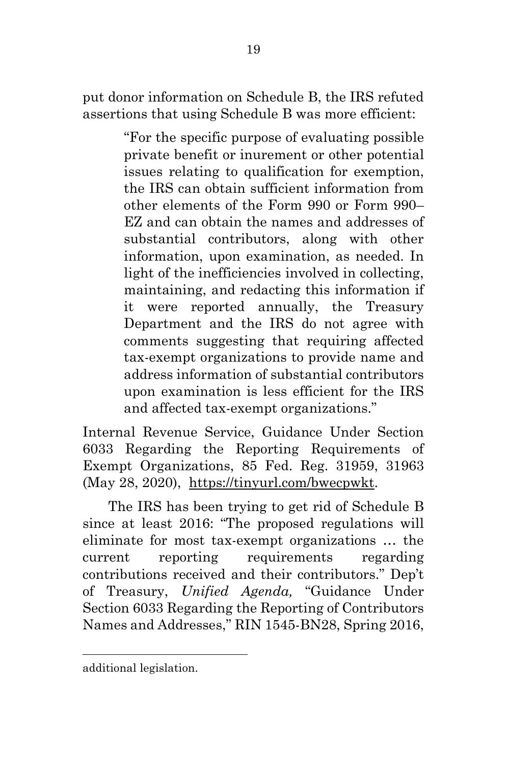put donor information on Schedule B, the IRS refuted assertions that using Schedule B was more efficient:

> "For the specific purpose of evaluating possible private benefit or inurement or other potential issues relating to qualification for exemption, the IRS can obtain sufficient information from other elements of the Form 990 or Form 990– EZ and can obtain the names and addresses of substantial contributors, along with other information, upon examination, as needed. In light of the inefficiencies involved in collecting, maintaining, and redacting this information if it were reported annually, the Treasury Department and the IRS do not agree with comments suggesting that requiring affected tax-exempt organizations to provide name and address information of substantial contributors upon examination is less efficient for the IRS and affected tax-exempt organizations."

Internal Revenue Service, Guidance Under Section 6033 Regarding the Reporting Requirements of Exempt Organizations, 85 Fed. Reg. 31959, 31963 (May 28, 2020), [https://tinyurl.com/bwecpwkt.](https://tinyurl.com/bwecpwkt)

The IRS has been trying to get rid of Schedule B since at least 2016: "The proposed regulations will eliminate for most tax-exempt organizations … the current reporting requirements regarding contributions received and their contributors." Dep't of Treasury, *Unified Agenda,* "Guidance Under Section 6033 Regarding the Reporting of Contributors Names and Addresses," RIN 1545-BN28, Spring 2016,

additional legislation.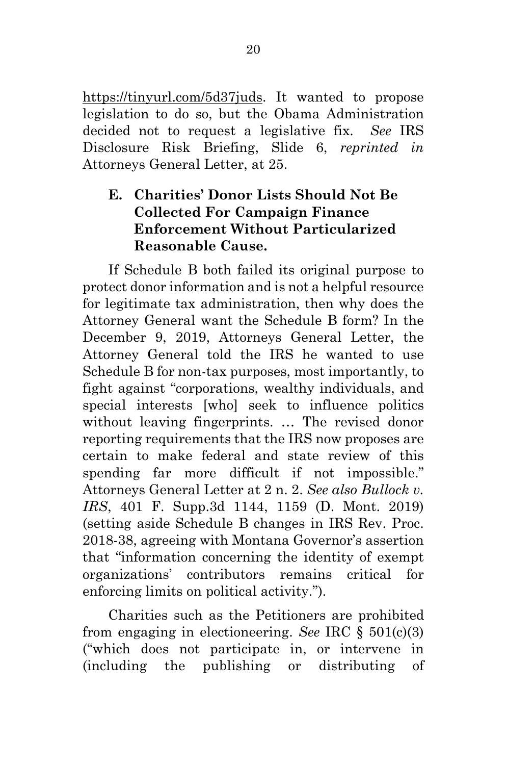[https://tinyurl.com/5d37juds.](https://tinyurl.com/5d37juds) It wanted to propose legislation to do so, but the Obama Administration decided not to request a legislative fix. *See* IRS Disclosure Risk Briefing, Slide 6, *reprinted in* Attorneys General Letter, at 25.

## <span id="page-29-0"></span>**E. Charities' Donor Lists Should Not Be Collected For Campaign Finance Enforcement Without Particularized Reasonable Cause.**

If Schedule B both failed its original purpose to protect donor information and is not a helpful resource for legitimate tax administration, then why does the Attorney General want the Schedule B form? In the December 9, 2019, Attorneys General Letter, the Attorney General told the IRS he wanted to use Schedule B for non-tax purposes, most importantly, to fight against "corporations, wealthy individuals, and special interests [who] seek to influence politics without leaving fingerprints. … The revised donor reporting requirements that the IRS now proposes are certain to make federal and state review of this spending far more difficult if not impossible." Attorneys General Letter at 2 n. 2. *See also Bullock v. IRS*, 401 F. Supp.3d 1144, 1159 (D. Mont. 2019) (setting aside Schedule B changes in IRS Rev. Proc. 2018-38, agreeing with Montana Governor's assertion that "information concerning the identity of exempt organizations' contributors remains critical for enforcing limits on political activity.").

Charities such as the Petitioners are prohibited from engaging in electioneering. *See* IRC § 501(c)(3) ("which does not participate in, or intervene in (including the publishing or distributing of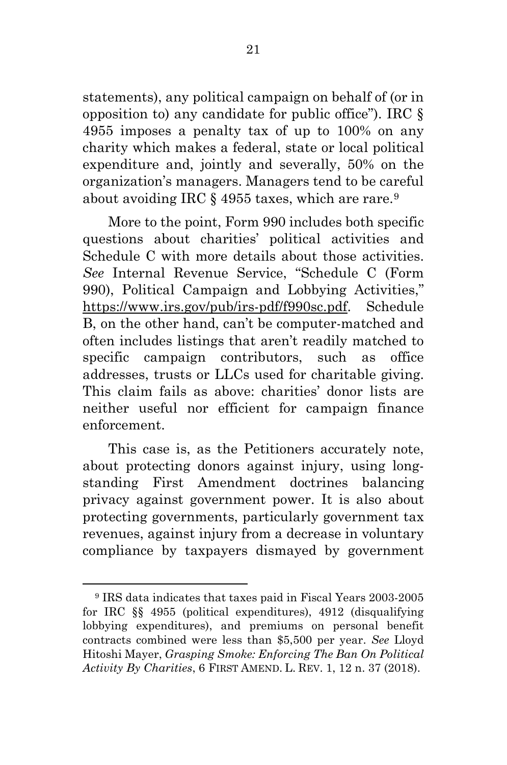statements), any political campaign on behalf of (or in opposition to) any candidate for public office"). IRC § 4955 imposes a penalty tax of up to 100% on any charity which makes a federal, state or local political expenditure and, jointly and severally, 50% on the organization's managers. Managers tend to be careful about avoiding IRC § 4955 taxes, which are rare.[9](#page-30-0)

More to the point, Form 990 includes both specific questions about charities' political activities and Schedule C with more details about those activities. *See* Internal Revenue Service, "Schedule C (Form 990), Political Campaign and Lobbying Activities," [https://www.irs.gov/pub/irs-pdf/f990sc.pdf.](https://www.irs.gov/pub/irs-pdf/f990sc.pdf) Schedule B, on the other hand, can't be computer-matched and often includes listings that aren't readily matched to specific campaign contributors, such as office addresses, trusts or LLCs used for charitable giving. This claim fails as above: charities' donor lists are neither useful nor efficient for campaign finance enforcement.

This case is, as the Petitioners accurately note, about protecting donors against injury, using longstanding First Amendment doctrines balancing privacy against government power. It is also about protecting governments, particularly government tax revenues, against injury from a decrease in voluntary compliance by taxpayers dismayed by government

<span id="page-30-0"></span><sup>9</sup> IRS data indicates that taxes paid in Fiscal Years 2003-2005 for IRC §§ 4955 (political expenditures), 4912 (disqualifying lobbying expenditures), and premiums on personal benefit contracts combined were less than \$5,500 per year. *See* Lloyd Hitoshi Mayer, *Grasping Smoke: Enforcing The Ban On Political Activity By Charities*, 6 FIRST AMEND. L. REV. 1, 12 n. 37 (2018).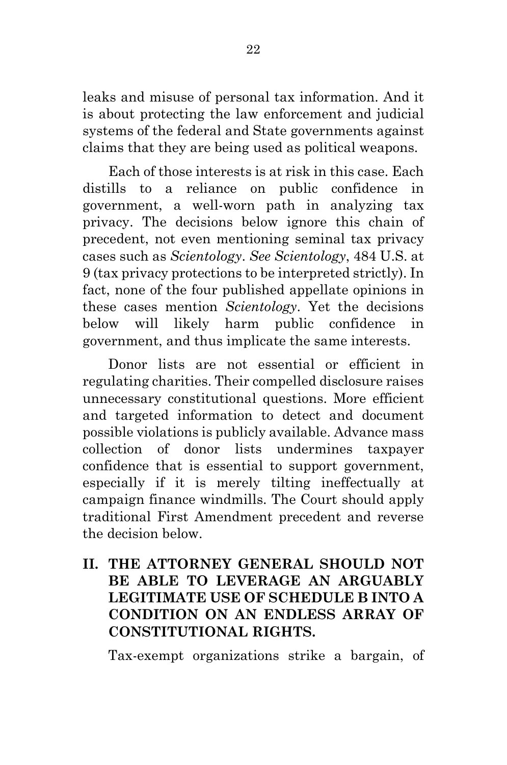leaks and misuse of personal tax information. And it is about protecting the law enforcement and judicial systems of the federal and State governments against claims that they are being used as political weapons.

Each of those interests is at risk in this case. Each distills to a reliance on public confidence in government, a well-worn path in analyzing tax privacy. The decisions below ignore this chain of precedent, not even mentioning seminal tax privacy cases such as *Scientology*. *See Scientology*, 484 U.S. at 9 (tax privacy protections to be interpreted strictly). In fact, none of the four published appellate opinions in these cases mention *Scientology*. Yet the decisions below will likely harm public confidence in government, and thus implicate the same interests.

Donor lists are not essential or efficient in regulating charities. Their compelled disclosure raises unnecessary constitutional questions. More efficient and targeted information to detect and document possible violations is publicly available. Advance mass collection of donor lists undermines taxpayer confidence that is essential to support government, especially if it is merely tilting ineffectually at campaign finance windmills. The Court should apply traditional First Amendment precedent and reverse the decision below.

## <span id="page-31-0"></span>**II. THE ATTORNEY GENERAL SHOULD NOT BE ABLE TO LEVERAGE AN ARGUABLY LEGITIMATE USE OF SCHEDULE B INTO A CONDITION ON AN ENDLESS ARRAY OF CONSTITUTIONAL RIGHTS.**

Tax-exempt organizations strike a bargain, of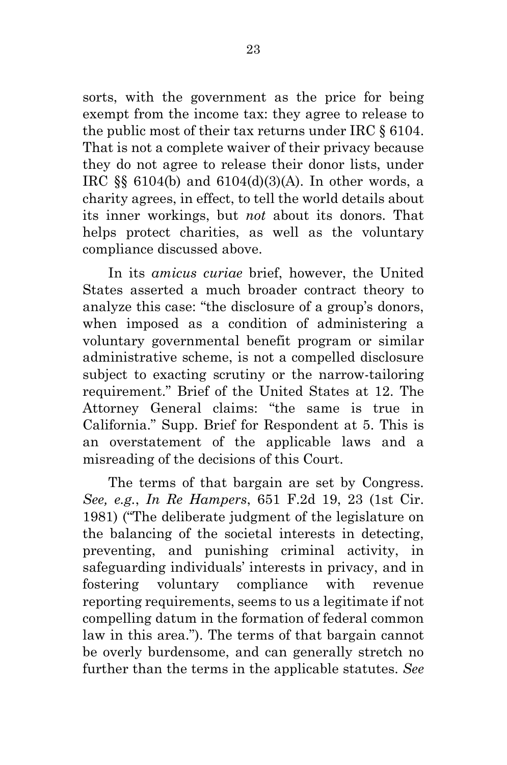sorts, with the government as the price for being exempt from the income tax: they agree to release to the public most of their tax returns under IRC § 6104. That is not a complete waiver of their privacy because they do not agree to release their donor lists, under IRC §§ 6104(b) and 6104(d)(3)(A). In other words, a charity agrees, in effect, to tell the world details about its inner workings, but *not* about its donors. That helps protect charities, as well as the voluntary compliance discussed above.

In its *amicus curiae* brief, however, the United States asserted a much broader contract theory to analyze this case: "the disclosure of a group's donors, when imposed as a condition of administering a voluntary governmental benefit program or similar administrative scheme, is not a compelled disclosure subject to exacting scrutiny or the narrow-tailoring requirement." Brief of the United States at 12. The Attorney General claims: "the same is true in California." Supp. Brief for Respondent at 5. This is an overstatement of the applicable laws and a misreading of the decisions of this Court.

The terms of that bargain are set by Congress. *See, e.g.*, *In Re Hampers*, 651 F.2d 19, 23 (1st Cir. 1981) ("The deliberate judgment of the legislature on the balancing of the societal interests in detecting, preventing, and punishing criminal activity, in safeguarding individuals' interests in privacy, and in fostering voluntary compliance with revenue reporting requirements, seems to us a legitimate if not compelling datum in the formation of federal common law in this area."). The terms of that bargain cannot be overly burdensome, and can generally stretch no further than the terms in the applicable statutes. *See*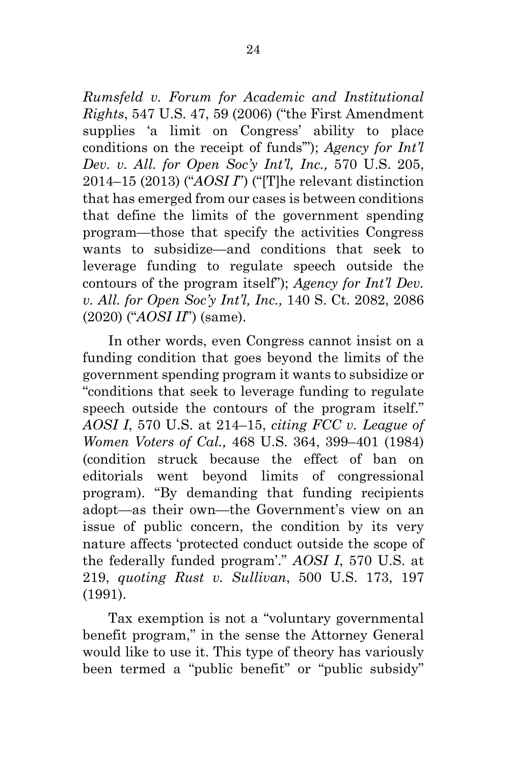*Rumsfeld v. Forum for Academic and Institutional Rights*, 547 U.S. 47, 59 (2006) ("the First Amendment supplies 'a limit on Congress' ability to place conditions on the receipt of funds'"); *Agency for Int'l Dev. v. All. for Open Soc'y Int'l, Inc.,* 570 U.S. 205, 2014–15 (2013) ("*AOSI I*") ("[T]he relevant distinction that has emerged from our cases is between conditions that define the limits of the government spending program—those that specify the activities Congress wants to subsidize—and conditions that seek to leverage funding to regulate speech outside the contours of the program itself"); *Agency for Int'l Dev. v. All. for Open Soc'y Int'l, Inc.,* 140 S. Ct. 2082, 2086 (2020) ("*AOSI II*") (same).

In other words, even Congress cannot insist on a funding condition that goes beyond the limits of the government spending program it wants to subsidize or "conditions that seek to leverage funding to regulate speech outside the contours of the program itself." *AOSI I*, 570 U.S. at 214–15, *citing FCC v. League of Women Voters of Cal.,* 468 U.S. 364, 399–401 (1984) (condition struck because the effect of ban on editorials went beyond limits of congressional program). "By demanding that funding recipients adopt—as their own—the Government's view on an issue of public concern, the condition by its very nature affects 'protected conduct outside the scope of the federally funded program'." *AOSI I*, 570 U.S. at 219, *quoting Rust v. Sullivan*, 500 U.S. 173, 197 (1991).

Tax exemption is not a "voluntary governmental benefit program," in the sense the Attorney General would like to use it. This type of theory has variously been termed a "public benefit" or "public subsidy"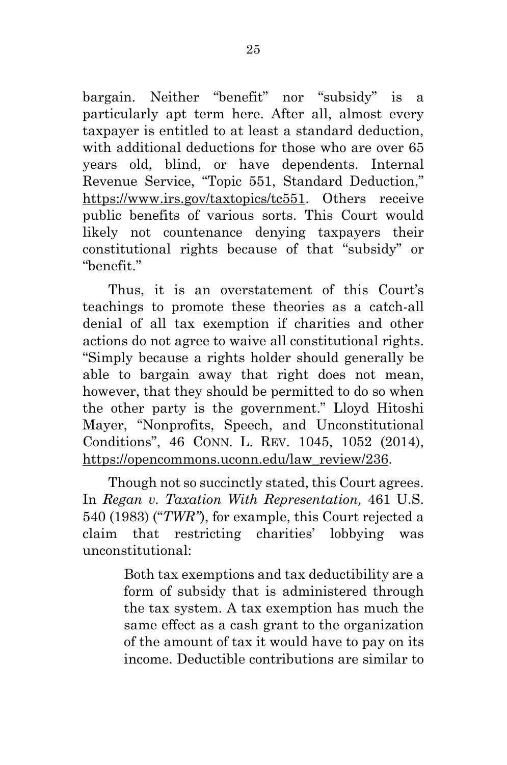bargain. Neither "benefit" nor "subsidy" is a particularly apt term here. After all, almost every taxpayer is entitled to at least a standard deduction, with additional deductions for those who are over 65 years old, blind, or have dependents. Internal Revenue Service, "Topic 551, Standard Deduction," [https://www.irs.gov/taxtopics/tc551.](https://www.irs.gov/taxtopics/tc551) Others receive public benefits of various sorts. This Court would likely not countenance denying taxpayers their constitutional rights because of that "subsidy" or "benefit."

Thus, it is an overstatement of this Court's teachings to promote these theories as a catch-all denial of all tax exemption if charities and other actions do not agree to waive all constitutional rights. "Simply because a rights holder should generally be able to bargain away that right does not mean, however, that they should be permitted to do so when the other party is the government." Lloyd Hitoshi Mayer, "Nonprofits, Speech, and Unconstitutional Conditions", 46 CONN. L. REV. 1045, 1052 (2014), [https://opencommons.uconn.edu/law\\_review/236.](https://opencommons.uconn.edu/law_review/236)

Though not so succinctly stated, this Court agrees. In *Regan v. Taxation With Representation,* 461 U.S. 540 (1983) ("*TWR"*), for example, this Court rejected a claim that restricting charities' lobbying was unconstitutional:

> Both tax exemptions and tax deductibility are a form of subsidy that is administered through the tax system. A tax exemption has much the same effect as a cash grant to the organization of the amount of tax it would have to pay on its income. Deductible contributions are similar to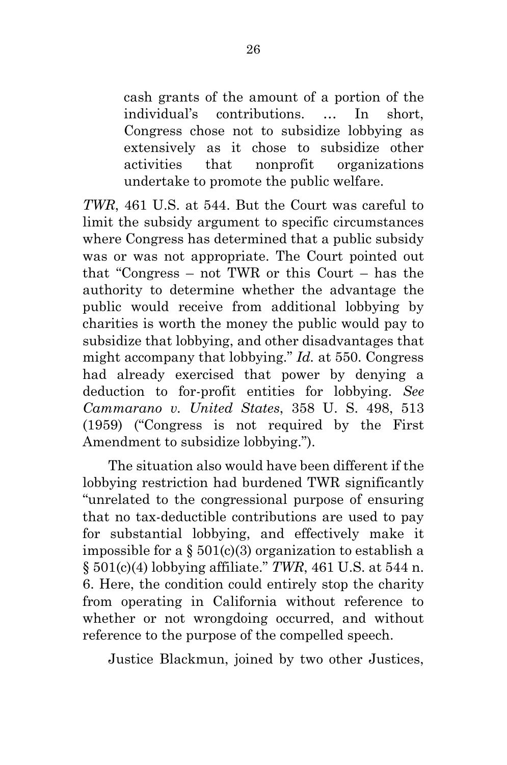cash grants of the amount of a portion of the individual's contributions. … In short, Congress chose not to subsidize lobbying as extensively as it chose to subsidize other activities that nonprofit organizations undertake to promote the public welfare.

*TWR*, 461 U.S. at 544. But the Court was careful to limit the subsidy argument to specific circumstances where Congress has determined that a public subsidy was or was not appropriate. The Court pointed out that "Congress – not TWR or this Court – has the authority to determine whether the advantage the public would receive from additional lobbying by charities is worth the money the public would pay to subsidize that lobbying, and other disadvantages that might accompany that lobbying." *Id.* at 550. Congress had already exercised that power by denying a deduction to for-profit entities for lobbying. *See Cammarano v. United States*, 358 U. S. 498, 513 (1959) ("Congress is not required by the First Amendment to subsidize lobbying.").

The situation also would have been different if the lobbying restriction had burdened TWR significantly "unrelated to the congressional purpose of ensuring that no tax-deductible contributions are used to pay for substantial lobbying, and effectively make it impossible for a  $\S 501(c)(3)$  organization to establish a § 501(c)(4) lobbying affiliate." *TWR*, 461 U.S. at 544 n. 6. Here, the condition could entirely stop the charity from operating in California without reference to whether or not wrongdoing occurred, and without reference to the purpose of the compelled speech.

Justice Blackmun, joined by two other Justices,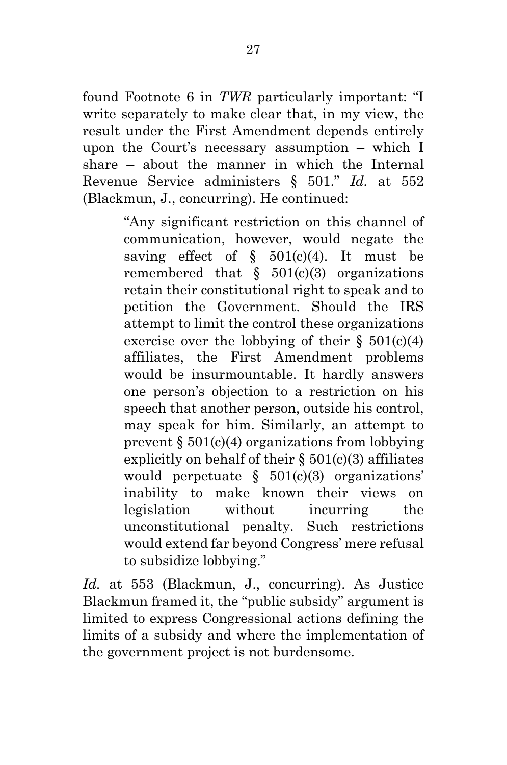found Footnote 6 in *TWR* particularly important: "I write separately to make clear that, in my view, the result under the First Amendment depends entirely upon the Court's necessary assumption – which I share – about the manner in which the Internal Revenue Service administers § 501." *Id.* at 552 (Blackmun, J., concurring). He continued:

> "Any significant restriction on this channel of communication, however, would negate the saving effect of  $\S$  501(c)(4). It must be remembered that  $\S$  501(c)(3) organizations retain their constitutional right to speak and to petition the Government. Should the IRS attempt to limit the control these organizations exercise over the lobbying of their  $\S$  501(c)(4) affiliates, the First Amendment problems would be insurmountable. It hardly answers one person's objection to a restriction on his speech that another person, outside his control, may speak for him. Similarly, an attempt to prevent  $\S 501(c)(4)$  organizations from lobbying explicitly on behalf of their  $\S 501(c)(3)$  affiliates would perpetuate  $\S$  501(c)(3) organizations' inability to make known their views on legislation without incurring the unconstitutional penalty. Such restrictions would extend far beyond Congress' mere refusal to subsidize lobbying."

*Id.* at 553 (Blackmun, J., concurring). As Justice Blackmun framed it, the "public subsidy" argument is limited to express Congressional actions defining the limits of a subsidy and where the implementation of the government project is not burdensome.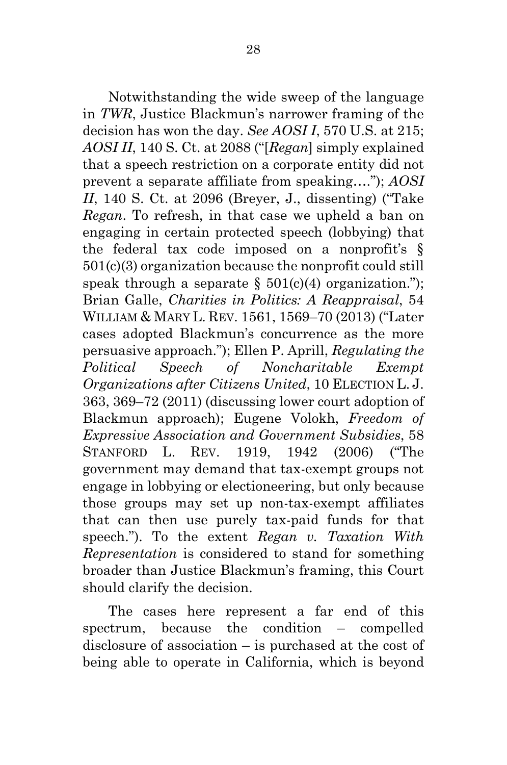Notwithstanding the wide sweep of the language in *TWR*, Justice Blackmun's narrower framing of the decision has won the day. *See AOSI I*, 570 U.S. at 215; *AOSI II*, 140 S. Ct. at 2088 ("[*Regan*] simply explained that a speech restriction on a corporate entity did not prevent a separate affiliate from speaking…."); *AOSI II*, 140 S. Ct. at 2096 (Breyer, J., dissenting) ("Take *Regan*. To refresh, in that case we upheld a ban on engaging in certain protected speech (lobbying) that the federal tax code imposed on a nonprofit's § 501(c)(3) organization because the nonprofit could still speak through a separate  $\S 501(c)(4)$  organization."); Brian Galle, *Charities in Politics: A Reappraisal*, 54 WILLIAM & MARY L. REV. 1561, 1569–70 (2013) ("Later cases adopted Blackmun's concurrence as the more persuasive approach."); Ellen P. Aprill, *Regulating the Political Speech of Noncharitable Exempt Organizations after Citizens United*, 10 ELECTION L. J. 363, 369–72 (2011) (discussing lower court adoption of Blackmun approach); Eugene Volokh, *Freedom of Expressive Association and Government Subsidies*, 58 STANFORD L. REV. 1919, 1942 (2006) ("The government may demand that tax-exempt groups not engage in lobbying or electioneering, but only because those groups may set up non-tax-exempt affiliates that can then use purely tax-paid funds for that speech."). To the extent *Regan v. Taxation With Representation* is considered to stand for something broader than Justice Blackmun's framing, this Court should clarify the decision.

The cases here represent a far end of this spectrum, because the condition – compelled disclosure of association – is purchased at the cost of being able to operate in California, which is beyond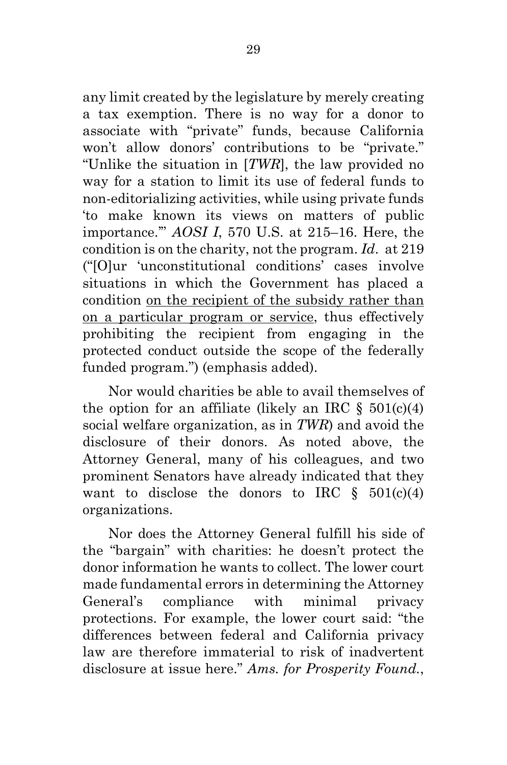any limit created by the legislature by merely creating a tax exemption. There is no way for a donor to associate with "private" funds, because California won't allow donors' contributions to be "private." "Unlike the situation in [*TWR*], the law provided no way for a station to limit its use of federal funds to non-editorializing activities, while using private funds 'to make known its views on matters of public importance.'" *AOSI I*, 570 U.S. at 215–16. Here, the condition is on the charity, not the program. *Id*. at 219 ("[O]ur 'unconstitutional conditions' cases involve situations in which the Government has placed a condition on the recipient of the subsidy rather than on a particular program or service, thus effectively prohibiting the recipient from engaging in the protected conduct outside the scope of the federally funded program.") (emphasis added).

Nor would charities be able to avail themselves of the option for an affiliate (likely an IRC  $\S 501(c)(4)$ ) social welfare organization, as in *TWR*) and avoid the disclosure of their donors. As noted above, the Attorney General, many of his colleagues, and two prominent Senators have already indicated that they want to disclose the donors to IRC  $\S$  501(c)(4) organizations.

Nor does the Attorney General fulfill his side of the "bargain" with charities: he doesn't protect the donor information he wants to collect. The lower court made fundamental errors in determining the Attorney General's compliance with minimal privacy protections. For example, the lower court said: "the differences between federal and California privacy law are therefore immaterial to risk of inadvertent disclosure at issue here." *Ams. for Prosperity Found.*,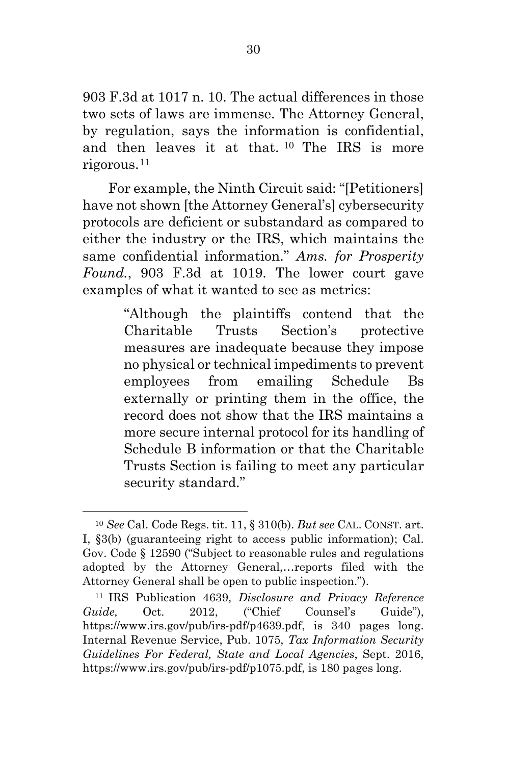903 F.3d at 1017 n. 10. The actual differences in those two sets of laws are immense. The Attorney General, by regulation, says the information is confidential, and then leaves it at that. [10](#page-39-0) The IRS is more rigorous.[11](#page-39-1)

For example, the Ninth Circuit said: "[Petitioners] have not shown [the Attorney General's] cybersecurity protocols are deficient or substandard as compared to either the industry or the IRS, which maintains the same confidential information." *Ams. for Prosperity Found.*, 903 F.3d at 1019. The lower court gave examples of what it wanted to see as metrics:

> "Although the plaintiffs contend that the Charitable Trusts Section's protective measures are inadequate because they impose no physical or technical impediments to prevent employees from emailing Schedule Bs externally or printing them in the office, the record does not show that the IRS maintains a more secure internal protocol for its handling of Schedule B information or that the Charitable Trusts Section is failing to meet any particular security standard."

<span id="page-39-0"></span><sup>10</sup> *See* Cal. Code Regs. tit. 11, § 310(b). *But see* CAL. CONST. art. I, §3(b) (guaranteeing right to access public information); Cal. Gov. Code § 12590 ("Subject to reasonable rules and regulations adopted by the Attorney General,…reports filed with the Attorney General shall be open to public inspection.").

<span id="page-39-1"></span><sup>11</sup> IRS Publication 4639, *Disclosure and Privacy Reference*  Guide, Oct. 2012, ("Chief Counsel's Guide"), https://www.irs.gov/pub/irs-pdf/p4639.pdf, is 340 pages long. Internal Revenue Service, Pub. 1075, *Tax Information Security Guidelines For Federal, State and Local Agencies*, Sept. 2016, https://www.irs.gov/pub/irs-pdf/p1075.pdf, is 180 pages long.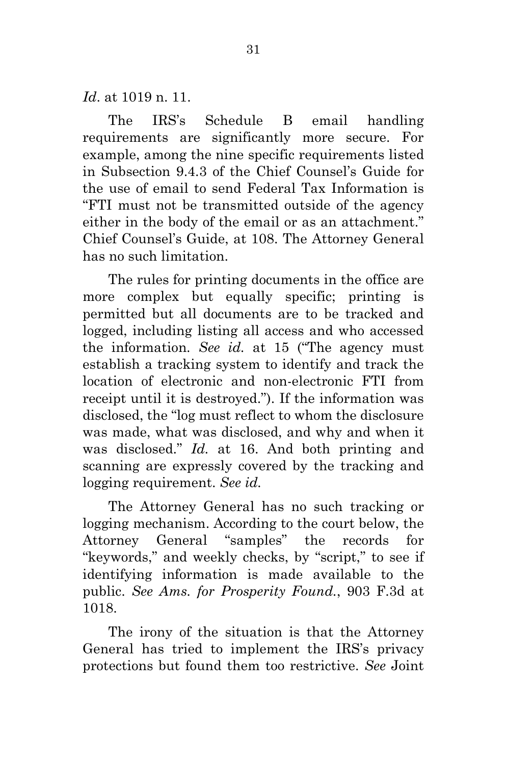*Id*. at 1019 n. 11.

The IRS's Schedule B email handling requirements are significantly more secure. For example, among the nine specific requirements listed in Subsection 9.4.3 of the Chief Counsel's Guide for the use of email to send Federal Tax Information is "FTI must not be transmitted outside of the agency either in the body of the email or as an attachment." Chief Counsel's Guide, at 108. The Attorney General has no such limitation.

The rules for printing documents in the office are more complex but equally specific; printing is permitted but all documents are to be tracked and logged, including listing all access and who accessed the information. *See id.* at 15 ("The agency must establish a tracking system to identify and track the location of electronic and non-electronic FTI from receipt until it is destroyed."). If the information was disclosed, the "log must reflect to whom the disclosure was made, what was disclosed, and why and when it was disclosed." *Id.* at 16. And both printing and scanning are expressly covered by the tracking and logging requirement. *See id.*

The Attorney General has no such tracking or logging mechanism. According to the court below, the Attorney General "samples" the records for "keywords," and weekly checks, by "script," to see if identifying information is made available to the public. *See Ams. for Prosperity Found.*, 903 F.3d at 1018.

The irony of the situation is that the Attorney General has tried to implement the IRS's privacy protections but found them too restrictive. *See* Joint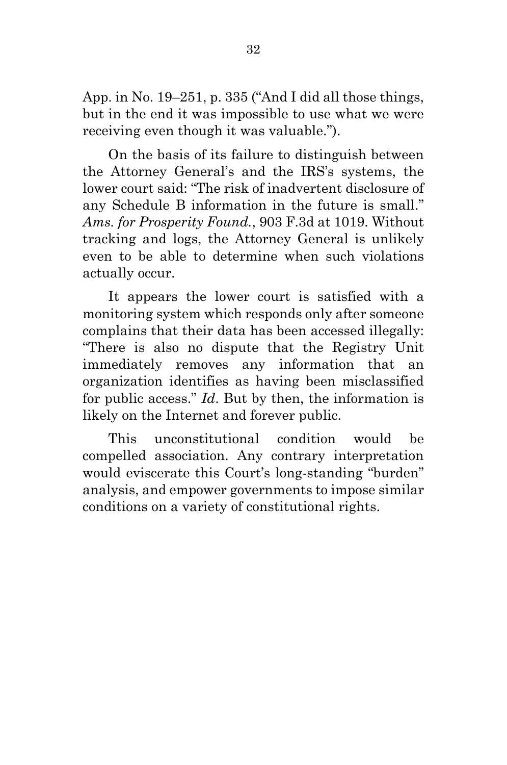App. in No. 19–251, p. 335 ("And I did all those things, but in the end it was impossible to use what we were receiving even though it was valuable.").

On the basis of its failure to distinguish between the Attorney General's and the IRS's systems, the lower court said: "The risk of inadvertent disclosure of any Schedule B information in the future is small." *Ams. for Prosperity Found.*, 903 F.3d at 1019. Without tracking and logs, the Attorney General is unlikely even to be able to determine when such violations actually occur.

It appears the lower court is satisfied with a monitoring system which responds only after someone complains that their data has been accessed illegally: "There is also no dispute that the Registry Unit immediately removes any information that an organization identifies as having been misclassified for public access." *Id*. But by then, the information is likely on the Internet and forever public.

This unconstitutional condition would be compelled association. Any contrary interpretation would eviscerate this Court's long-standing "burden" analysis, and empower governments to impose similar conditions on a variety of constitutional rights.